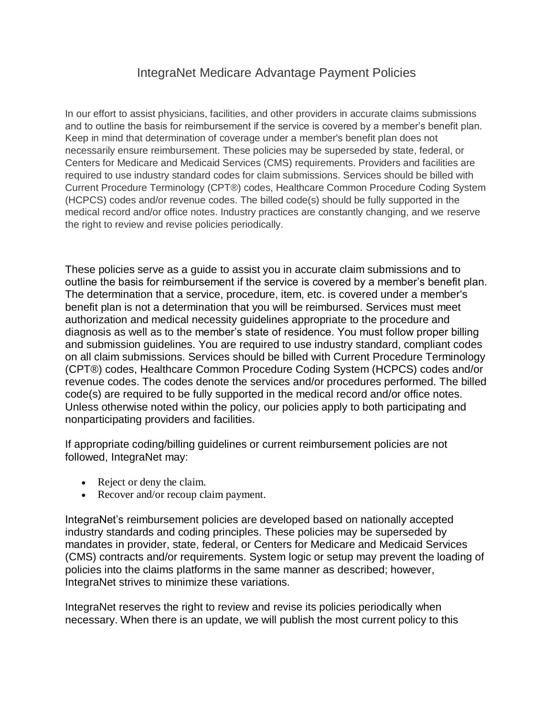# IntegraNet Medicare Advantage Payment Policies

In our effort to assist physicians, facilities, and other providers in accurate claims submissions and to outline the basis for reimbursement if the service is covered by a member's benefit plan. Keep in mind that determination of coverage under a member's benefit plan does not necessarily ensure reimbursement. These policies may be superseded by state, federal, or Centers for Medicare and Medicaid Services (CMS) requirements. Providers and facilities are required to use industry standard codes for claim submissions. Services should be billed with Current Procedure Terminology (CPT®) codes, Healthcare Common Procedure Coding System (HCPCS) codes and/or revenue codes. The billed code(s) should be fully supported in the medical record and/or office notes. Industry practices are constantly changing, and we reserve the right to review and revise policies periodically.

These policies serve as a guide to assist you in accurate claim submissions and to outline the basis for reimbursement if the service is covered by a member's benefit plan. The determination that a service, procedure, item, etc. is covered under a member's benefit plan is not a determination that you will be reimbursed. Services must meet authorization and medical necessity guidelines appropriate to the procedure and diagnosis as well as to the member's state of residence. You must follow proper billing and submission guidelines. You are required to use industry standard, compliant codes on all claim submissions. Services should be billed with Current Procedure Terminology (CPT®) codes, Healthcare Common Procedure Coding System (HCPCS) codes and/or revenue codes. The codes denote the services and/or procedures performed. The billed code(s) are required to be fully supported in the medical record and/or office notes. Unless otherwise noted within the policy, our policies apply to both participating and nonparticipating providers and facilities.

If appropriate coding/billing guidelines or current reimbursement policies are not followed, IntegraNet may:

- Reject or deny the claim.
- Recover and/or recoup claim payment.

IntegraNet's reimbursement policies are developed based on nationally accepted industry standards and coding principles. These policies may be superseded by mandates in provider, state, federal, or Centers for Medicare and Medicaid Services (CMS) contracts and/or requirements. System logic or setup may prevent the loading of policies into the claims platforms in the same manner as described; however, IntegraNet strives to minimize these variations.

IntegraNet reserves the right to review and revise its policies periodically when necessary. When there is an update, we will publish the most current policy to this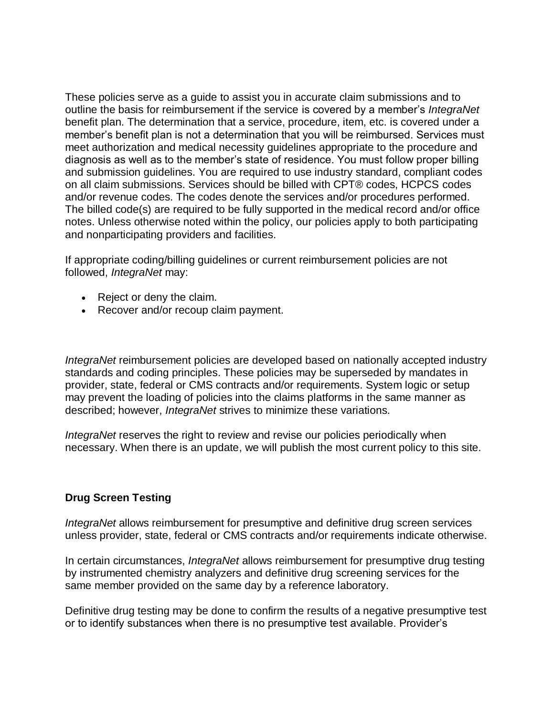These policies serve as a guide to assist you in accurate claim submissions and to outline the basis for reimbursement if the service is covered by a member's *IntegraNet* benefit plan. The determination that a service, procedure, item, etc. is covered under a member's benefit plan is not a determination that you will be reimbursed. Services must meet authorization and medical necessity guidelines appropriate to the procedure and diagnosis as well as to the member's state of residence. You must follow proper billing and submission guidelines. You are required to use industry standard, compliant codes on all claim submissions. Services should be billed with CPT® codes, HCPCS codes and/or revenue codes. The codes denote the services and/or procedures performed. The billed code(s) are required to be fully supported in the medical record and/or office notes. Unless otherwise noted within the policy, our policies apply to both participating and nonparticipating providers and facilities.

If appropriate coding/billing guidelines or current reimbursement policies are not followed, *IntegraNet* may:

- Reject or deny the claim.
- Recover and/or recoup claim payment.

*IntegraNet* reimbursement policies are developed based on nationally accepted industry standards and coding principles. These policies may be superseded by mandates in provider, state, federal or CMS contracts and/or requirements. System logic or setup may prevent the loading of policies into the claims platforms in the same manner as described; however, *IntegraNet* strives to minimize these variations.

*IntegraNet* reserves the right to review and revise our policies periodically when necessary. When there is an update, we will publish the most current policy to this site.

## **Drug Screen Testing**

*IntegraNet* allows reimbursement for presumptive and definitive drug screen services unless provider, state, federal or CMS contracts and/or requirements indicate otherwise.

In certain circumstances, *IntegraNet* allows reimbursement for presumptive drug testing by instrumented chemistry analyzers and definitive drug screening services for the same member provided on the same day by a reference laboratory.

Definitive drug testing may be done to confirm the results of a negative presumptive test or to identify substances when there is no presumptive test available. Provider's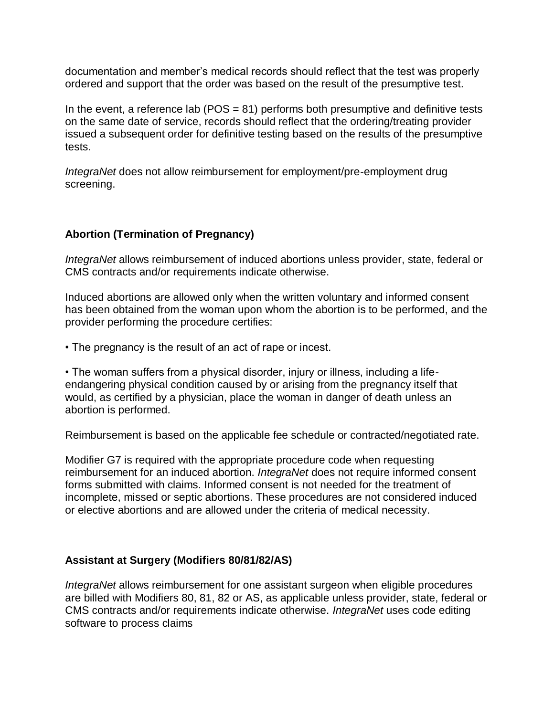documentation and member's medical records should reflect that the test was properly ordered and support that the order was based on the result of the presumptive test.

In the event, a reference lab ( $POS = 81$ ) performs both presumptive and definitive tests on the same date of service, records should reflect that the ordering/treating provider issued a subsequent order for definitive testing based on the results of the presumptive tests.

*IntegraNet* does not allow reimbursement for employment/pre-employment drug screening.

# **Abortion (Termination of Pregnancy)**

*IntegraNet* allows reimbursement of induced abortions unless provider, state, federal or CMS contracts and/or requirements indicate otherwise.

Induced abortions are allowed only when the written voluntary and informed consent has been obtained from the woman upon whom the abortion is to be performed, and the provider performing the procedure certifies:

• The pregnancy is the result of an act of rape or incest.

• The woman suffers from a physical disorder, injury or illness, including a lifeendangering physical condition caused by or arising from the pregnancy itself that would, as certified by a physician, place the woman in danger of death unless an abortion is performed.

Reimbursement is based on the applicable fee schedule or contracted/negotiated rate.

Modifier G7 is required with the appropriate procedure code when requesting reimbursement for an induced abortion. *IntegraNet* does not require informed consent forms submitted with claims. Informed consent is not needed for the treatment of incomplete, missed or septic abortions. These procedures are not considered induced or elective abortions and are allowed under the criteria of medical necessity.

## **Assistant at Surgery (Modifiers 80/81/82/AS)**

*IntegraNet* allows reimbursement for one assistant surgeon when eligible procedures are billed with Modifiers 80, 81, 82 or AS, as applicable unless provider, state, federal or CMS contracts and/or requirements indicate otherwise. *IntegraNet* uses code editing software to process claims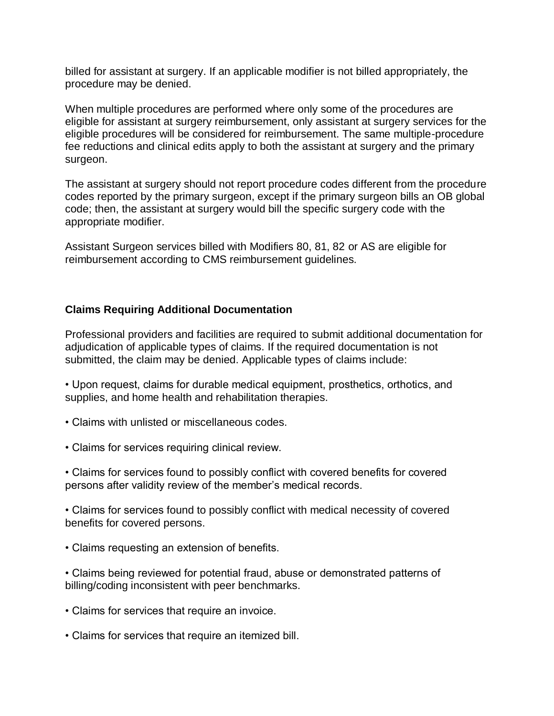billed for assistant at surgery. If an applicable modifier is not billed appropriately, the procedure may be denied.

When multiple procedures are performed where only some of the procedures are eligible for assistant at surgery reimbursement, only assistant at surgery services for the eligible procedures will be considered for reimbursement. The same multiple-procedure fee reductions and clinical edits apply to both the assistant at surgery and the primary surgeon.

The assistant at surgery should not report procedure codes different from the procedure codes reported by the primary surgeon, except if the primary surgeon bills an OB global code; then, the assistant at surgery would bill the specific surgery code with the appropriate modifier.

Assistant Surgeon services billed with Modifiers 80, 81, 82 or AS are eligible for reimbursement according to CMS reimbursement guidelines.

# **Claims Requiring Additional Documentation**

Professional providers and facilities are required to submit additional documentation for adjudication of applicable types of claims. If the required documentation is not submitted, the claim may be denied. Applicable types of claims include:

- Upon request, claims for durable medical equipment, prosthetics, orthotics, and supplies, and home health and rehabilitation therapies.
- Claims with unlisted or miscellaneous codes.
- Claims for services requiring clinical review.

• Claims for services found to possibly conflict with covered benefits for covered persons after validity review of the member's medical records.

• Claims for services found to possibly conflict with medical necessity of covered benefits for covered persons.

• Claims requesting an extension of benefits.

• Claims being reviewed for potential fraud, abuse or demonstrated patterns of billing/coding inconsistent with peer benchmarks.

- Claims for services that require an invoice.
- Claims for services that require an itemized bill.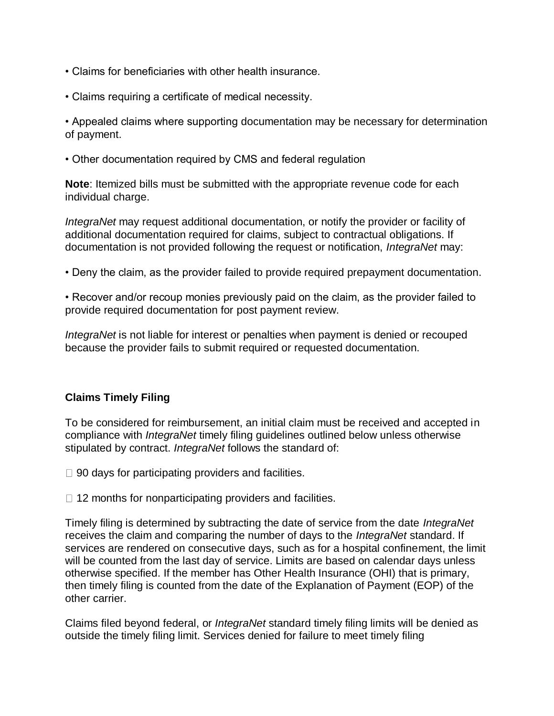- Claims for beneficiaries with other health insurance.
- Claims requiring a certificate of medical necessity.

• Appealed claims where supporting documentation may be necessary for determination of payment.

• Other documentation required by CMS and federal regulation

**Note**: Itemized bills must be submitted with the appropriate revenue code for each individual charge.

*IntegraNet* may request additional documentation, or notify the provider or facility of additional documentation required for claims, subject to contractual obligations. If documentation is not provided following the request or notification, *IntegraNet* may:

- Deny the claim, as the provider failed to provide required prepayment documentation.
- Recover and/or recoup monies previously paid on the claim, as the provider failed to provide required documentation for post payment review.

*IntegraNet* is not liable for interest or penalties when payment is denied or recouped because the provider fails to submit required or requested documentation.

# **Claims Timely Filing**

To be considered for reimbursement, an initial claim must be received and accepted in compliance with *IntegraNet* timely filing guidelines outlined below unless otherwise stipulated by contract. *IntegraNet* follows the standard of:

- $\Box$  90 days for participating providers and facilities.
- $\Box$  12 months for nonparticipating providers and facilities.

Timely filing is determined by subtracting the date of service from the date *IntegraNet* receives the claim and comparing the number of days to the *IntegraNet* standard. If services are rendered on consecutive days, such as for a hospital confinement, the limit will be counted from the last day of service. Limits are based on calendar days unless otherwise specified. If the member has Other Health Insurance (OHI) that is primary, then timely filing is counted from the date of the Explanation of Payment (EOP) of the other carrier.

Claims filed beyond federal, or *IntegraNet* standard timely filing limits will be denied as outside the timely filing limit. Services denied for failure to meet timely filing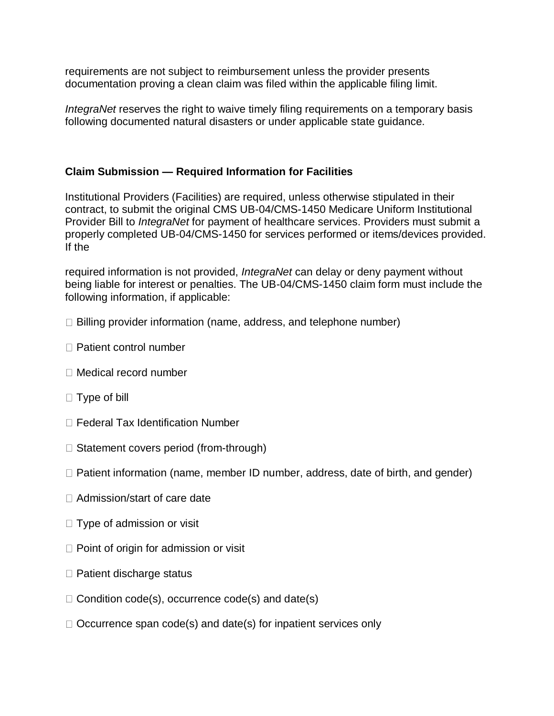requirements are not subject to reimbursement unless the provider presents documentation proving a clean claim was filed within the applicable filing limit.

*IntegraNet* reserves the right to waive timely filing requirements on a temporary basis following documented natural disasters or under applicable state guidance.

# **Claim Submission — Required Information for Facilities**

Institutional Providers (Facilities) are required, unless otherwise stipulated in their contract, to submit the original CMS UB-04/CMS-1450 Medicare Uniform Institutional Provider Bill to *IntegraNet* for payment of healthcare services. Providers must submit a properly completed UB-04/CMS-1450 for services performed or items/devices provided. If the

required information is not provided, *IntegraNet* can delay or deny payment without being liable for interest or penalties. The UB-04/CMS-1450 claim form must include the following information, if applicable:

- $\Box$  Billing provider information (name, address, and telephone number)
- □ Patient control number
- Medical record number
- $\Box$  Type of bill
- □ Federal Tax Identification Number
- $\Box$  Statement covers period (from-through)
- $\Box$  Patient information (name, member ID number, address, date of birth, and gender)
- □ Admission/start of care date
- $\Box$  Type of admission or visit
- $\Box$  Point of origin for admission or visit
- $\Box$  Patient discharge status
- $\Box$  Condition code(s), occurrence code(s) and date(s)
- $\Box$  Occurrence span code(s) and date(s) for inpatient services only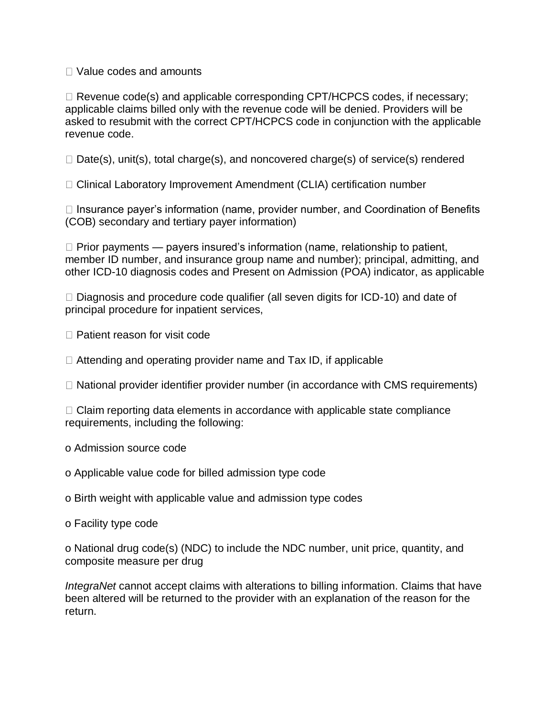Value codes and amounts

 $\Box$  Revenue code(s) and applicable corresponding CPT/HCPCS codes, if necessary; applicable claims billed only with the revenue code will be denied. Providers will be asked to resubmit with the correct CPT/HCPCS code in conjunction with the applicable revenue code.

 $\Box$  Date(s), unit(s), total charge(s), and noncovered charge(s) of service(s) rendered

□ Clinical Laboratory Improvement Amendment (CLIA) certification number

□ Insurance payer's information (name, provider number, and Coordination of Benefits (COB) secondary and tertiary payer information)

 $\Box$  Prior payments — payers insured's information (name, relationship to patient, member ID number, and insurance group name and number); principal, admitting, and other ICD-10 diagnosis codes and Present on Admission (POA) indicator, as applicable

 $\Box$  Diagnosis and procedure code qualifier (all seven digits for ICD-10) and date of principal procedure for inpatient services,

□ Patient reason for visit code

 $\Box$  Attending and operating provider name and Tax ID, if applicable

 $\Box$  National provider identifier provider number (in accordance with CMS requirements)

 $\Box$  Claim reporting data elements in accordance with applicable state compliance requirements, including the following:

o Admission source code

o Applicable value code for billed admission type code

o Birth weight with applicable value and admission type codes

o Facility type code

o National drug code(s) (NDC) to include the NDC number, unit price, quantity, and composite measure per drug

*IntegraNet* cannot accept claims with alterations to billing information. Claims that have been altered will be returned to the provider with an explanation of the reason for the return.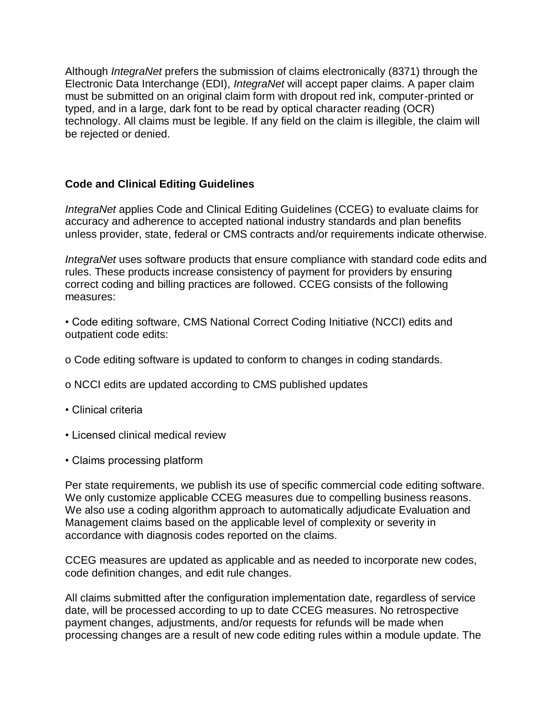Although *IntegraNet* prefers the submission of claims electronically (8371) through the Electronic Data Interchange (EDI), *IntegraNet* will accept paper claims. A paper claim must be submitted on an original claim form with dropout red ink, computer-printed or typed, and in a large, dark font to be read by optical character reading (OCR) technology. All claims must be legible. If any field on the claim is illegible, the claim will be rejected or denied.

# **Code and Clinical Editing Guidelines**

*IntegraNet* applies Code and Clinical Editing Guidelines (CCEG) to evaluate claims for accuracy and adherence to accepted national industry standards and plan benefits unless provider, state, federal or CMS contracts and/or requirements indicate otherwise.

*IntegraNet* uses software products that ensure compliance with standard code edits and rules. These products increase consistency of payment for providers by ensuring correct coding and billing practices are followed. CCEG consists of the following measures:

• Code editing software, CMS National Correct Coding Initiative (NCCI) edits and outpatient code edits:

- o Code editing software is updated to conform to changes in coding standards.
- o NCCI edits are updated according to CMS published updates
- Clinical criteria
- Licensed clinical medical review
- Claims processing platform

Per state requirements, we publish its use of specific commercial code editing software. We only customize applicable CCEG measures due to compelling business reasons. We also use a coding algorithm approach to automatically adjudicate Evaluation and Management claims based on the applicable level of complexity or severity in accordance with diagnosis codes reported on the claims.

CCEG measures are updated as applicable and as needed to incorporate new codes, code definition changes, and edit rule changes.

All claims submitted after the configuration implementation date, regardless of service date, will be processed according to up to date CCEG measures. No retrospective payment changes, adjustments, and/or requests for refunds will be made when processing changes are a result of new code editing rules within a module update. The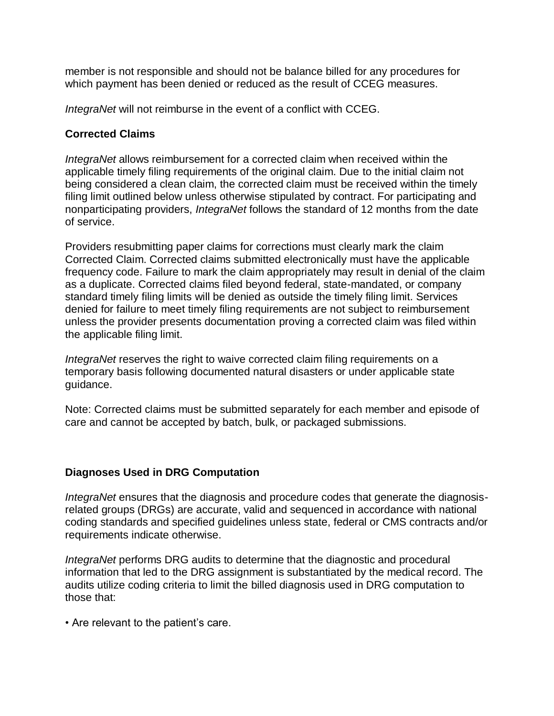member is not responsible and should not be balance billed for any procedures for which payment has been denied or reduced as the result of CCEG measures.

*IntegraNet* will not reimburse in the event of a conflict with CCEG.

## **Corrected Claims**

*IntegraNet* allows reimbursement for a corrected claim when received within the applicable timely filing requirements of the original claim. Due to the initial claim not being considered a clean claim, the corrected claim must be received within the timely filing limit outlined below unless otherwise stipulated by contract. For participating and nonparticipating providers, *IntegraNet* follows the standard of 12 months from the date of service.

Providers resubmitting paper claims for corrections must clearly mark the claim Corrected Claim. Corrected claims submitted electronically must have the applicable frequency code. Failure to mark the claim appropriately may result in denial of the claim as a duplicate. Corrected claims filed beyond federal, state-mandated, or company standard timely filing limits will be denied as outside the timely filing limit. Services denied for failure to meet timely filing requirements are not subject to reimbursement unless the provider presents documentation proving a corrected claim was filed within the applicable filing limit.

*IntegraNet* reserves the right to waive corrected claim filing requirements on a temporary basis following documented natural disasters or under applicable state guidance.

Note: Corrected claims must be submitted separately for each member and episode of care and cannot be accepted by batch, bulk, or packaged submissions.

## **Diagnoses Used in DRG Computation**

*IntegraNet* ensures that the diagnosis and procedure codes that generate the diagnosisrelated groups (DRGs) are accurate, valid and sequenced in accordance with national coding standards and specified guidelines unless state, federal or CMS contracts and/or requirements indicate otherwise.

*IntegraNet* performs DRG audits to determine that the diagnostic and procedural information that led to the DRG assignment is substantiated by the medical record. The audits utilize coding criteria to limit the billed diagnosis used in DRG computation to those that:

• Are relevant to the patient's care.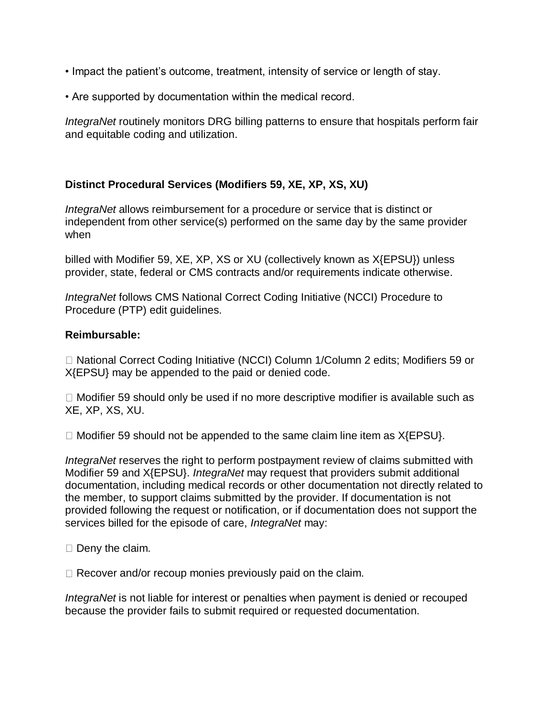- Impact the patient's outcome, treatment, intensity of service or length of stay.
- Are supported by documentation within the medical record.

*IntegraNet* routinely monitors DRG billing patterns to ensure that hospitals perform fair and equitable coding and utilization.

# **Distinct Procedural Services (Modifiers 59, XE, XP, XS, XU)**

*IntegraNet* allows reimbursement for a procedure or service that is distinct or independent from other service(s) performed on the same day by the same provider when

billed with Modifier 59, XE, XP, XS or XU (collectively known as X{EPSU}) unless provider, state, federal or CMS contracts and/or requirements indicate otherwise.

*IntegraNet* follows CMS National Correct Coding Initiative (NCCI) Procedure to Procedure (PTP) edit guidelines.

## **Reimbursable:**

□ National Correct Coding Initiative (NCCI) Column 1/Column 2 edits: Modifiers 59 or X{EPSU} may be appended to the paid or denied code.

 $\Box$  Modifier 59 should only be used if no more descriptive modifier is available such as XE, XP, XS, XU.

 $\Box$  Modifier 59 should not be appended to the same claim line item as  $X$ {EPSU}.

*IntegraNet* reserves the right to perform postpayment review of claims submitted with Modifier 59 and X{EPSU}. *IntegraNet* may request that providers submit additional documentation, including medical records or other documentation not directly related to the member, to support claims submitted by the provider. If documentation is not provided following the request or notification, or if documentation does not support the services billed for the episode of care, *IntegraNet* may:

 $\square$  Deny the claim.

 $\Box$  Recover and/or recoup monies previously paid on the claim.

*IntegraNet* is not liable for interest or penalties when payment is denied or recouped because the provider fails to submit required or requested documentation.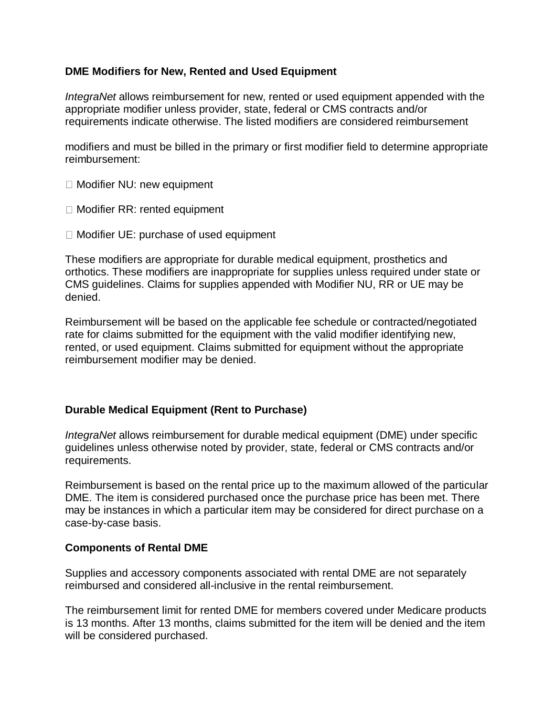## **DME Modifiers for New, Rented and Used Equipment**

*IntegraNet* allows reimbursement for new, rented or used equipment appended with the appropriate modifier unless provider, state, federal or CMS contracts and/or requirements indicate otherwise. The listed modifiers are considered reimbursement

modifiers and must be billed in the primary or first modifier field to determine appropriate reimbursement:

- □ Modifier NU: new equipment
- □ Modifier RR: rented equipment
- $\Box$  Modifier UE: purchase of used equipment

These modifiers are appropriate for durable medical equipment, prosthetics and orthotics. These modifiers are inappropriate for supplies unless required under state or CMS guidelines. Claims for supplies appended with Modifier NU, RR or UE may be denied.

Reimbursement will be based on the applicable fee schedule or contracted/negotiated rate for claims submitted for the equipment with the valid modifier identifying new, rented, or used equipment. Claims submitted for equipment without the appropriate reimbursement modifier may be denied.

## **Durable Medical Equipment (Rent to Purchase)**

*IntegraNet* allows reimbursement for durable medical equipment (DME) under specific guidelines unless otherwise noted by provider, state, federal or CMS contracts and/or requirements.

Reimbursement is based on the rental price up to the maximum allowed of the particular DME. The item is considered purchased once the purchase price has been met. There may be instances in which a particular item may be considered for direct purchase on a case-by-case basis.

## **Components of Rental DME**

Supplies and accessory components associated with rental DME are not separately reimbursed and considered all-inclusive in the rental reimbursement.

The reimbursement limit for rented DME for members covered under Medicare products is 13 months. After 13 months, claims submitted for the item will be denied and the item will be considered purchased.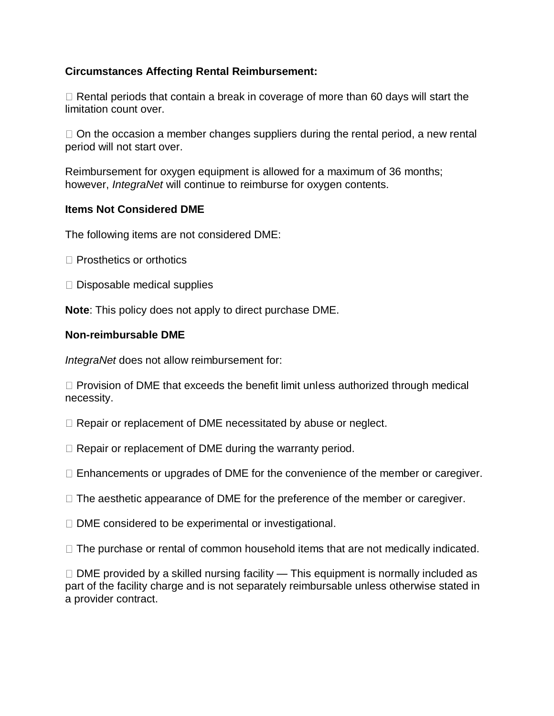# **Circumstances Affecting Rental Reimbursement:**

 $\Box$  Rental periods that contain a break in coverage of more than 60 days will start the limitation count over.

 $\Box$  On the occasion a member changes suppliers during the rental period, a new rental period will not start over.

Reimbursement for oxygen equipment is allowed for a maximum of 36 months; however, *IntegraNet* will continue to reimburse for oxygen contents.

## **Items Not Considered DME**

The following items are not considered DME:

- $\Box$  Prosthetics or orthotics
- $\Box$  Disposable medical supplies

**Note**: This policy does not apply to direct purchase DME.

# **Non-reimbursable DME**

*IntegraNet* does not allow reimbursement for:

 $\Box$  Provision of DME that exceeds the benefit limit unless authorized through medical necessity.

 $\Box$  Repair or replacement of DME necessitated by abuse or neglect.

 $\Box$  Repair or replacement of DME during the warranty period.

 $\Box$  Enhancements or upgrades of DME for the convenience of the member or caregiver.

 $\Box$  The aesthetic appearance of DME for the preference of the member or caregiver.

 $\Box$  DME considered to be experimental or investigational.

 $\Box$  The purchase or rental of common household items that are not medically indicated.

 $\Box$  DME provided by a skilled nursing facility — This equipment is normally included as part of the facility charge and is not separately reimbursable unless otherwise stated in a provider contract.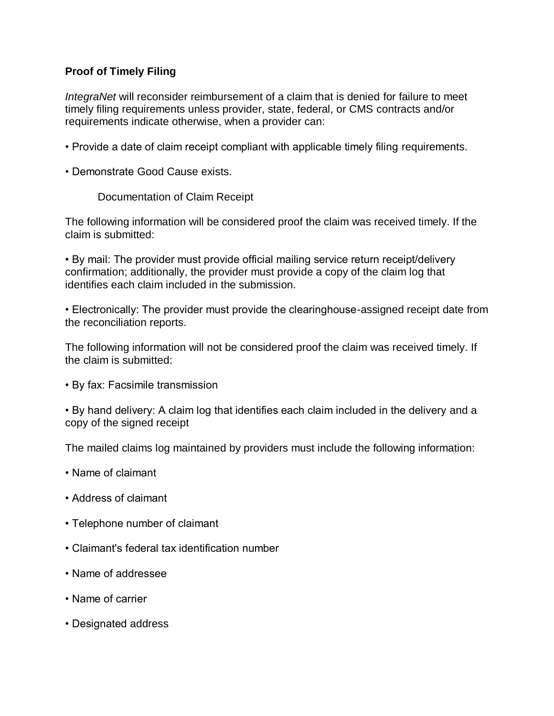# **Proof of Timely Filing**

*IntegraNet* will reconsider reimbursement of a claim that is denied for failure to meet timely filing requirements unless provider, state, federal, or CMS contracts and/or requirements indicate otherwise, when a provider can:

- Provide a date of claim receipt compliant with applicable timely filing requirements.
- Demonstrate Good Cause exists.

Documentation of Claim Receipt

The following information will be considered proof the claim was received timely. If the claim is submitted:

• By mail: The provider must provide official mailing service return receipt/delivery confirmation; additionally, the provider must provide a copy of the claim log that identifies each claim included in the submission.

• Electronically: The provider must provide the clearinghouse-assigned receipt date from the reconciliation reports.

The following information will not be considered proof the claim was received timely. If the claim is submitted:

• By fax: Facsimile transmission

• By hand delivery: A claim log that identifies each claim included in the delivery and a copy of the signed receipt

The mailed claims log maintained by providers must include the following information:

- Name of claimant
- Address of claimant
- Telephone number of claimant
- Claimant's federal tax identification number
- Name of addressee
- Name of carrier
- Designated address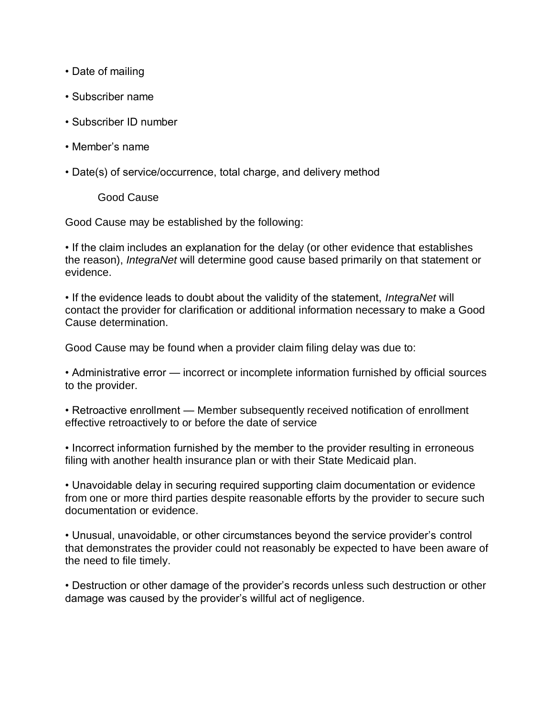- Date of mailing
- Subscriber name
- Subscriber ID number
- Member's name
- Date(s) of service/occurrence, total charge, and delivery method

Good Cause

Good Cause may be established by the following:

• If the claim includes an explanation for the delay (or other evidence that establishes the reason), *IntegraNet* will determine good cause based primarily on that statement or evidence.

• If the evidence leads to doubt about the validity of the statement, *IntegraNet* will contact the provider for clarification or additional information necessary to make a Good Cause determination.

Good Cause may be found when a provider claim filing delay was due to:

• Administrative error — incorrect or incomplete information furnished by official sources to the provider.

• Retroactive enrollment — Member subsequently received notification of enrollment effective retroactively to or before the date of service

• Incorrect information furnished by the member to the provider resulting in erroneous filing with another health insurance plan or with their State Medicaid plan.

• Unavoidable delay in securing required supporting claim documentation or evidence from one or more third parties despite reasonable efforts by the provider to secure such documentation or evidence.

• Unusual, unavoidable, or other circumstances beyond the service provider's control that demonstrates the provider could not reasonably be expected to have been aware of the need to file timely.

• Destruction or other damage of the provider's records unless such destruction or other damage was caused by the provider's willful act of negligence.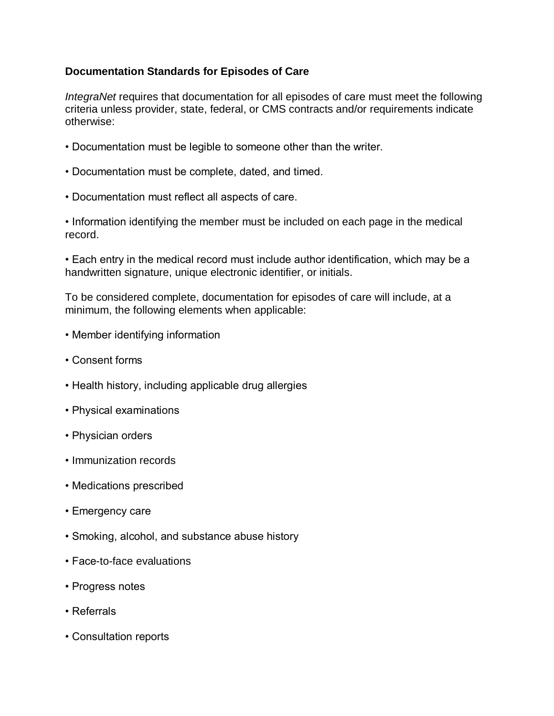# **Documentation Standards for Episodes of Care**

*IntegraNet* requires that documentation for all episodes of care must meet the following criteria unless provider, state, federal, or CMS contracts and/or requirements indicate otherwise:

- Documentation must be legible to someone other than the writer.
- Documentation must be complete, dated, and timed.
- Documentation must reflect all aspects of care.
- Information identifying the member must be included on each page in the medical record.

• Each entry in the medical record must include author identification, which may be a handwritten signature, unique electronic identifier, or initials.

To be considered complete, documentation for episodes of care will include, at a minimum, the following elements when applicable:

- Member identifying information
- Consent forms
- Health history, including applicable drug allergies
- Physical examinations
- Physician orders
- Immunization records
- Medications prescribed
- Emergency care
- Smoking, alcohol, and substance abuse history
- Face-to-face evaluations
- Progress notes
- Referrals
- Consultation reports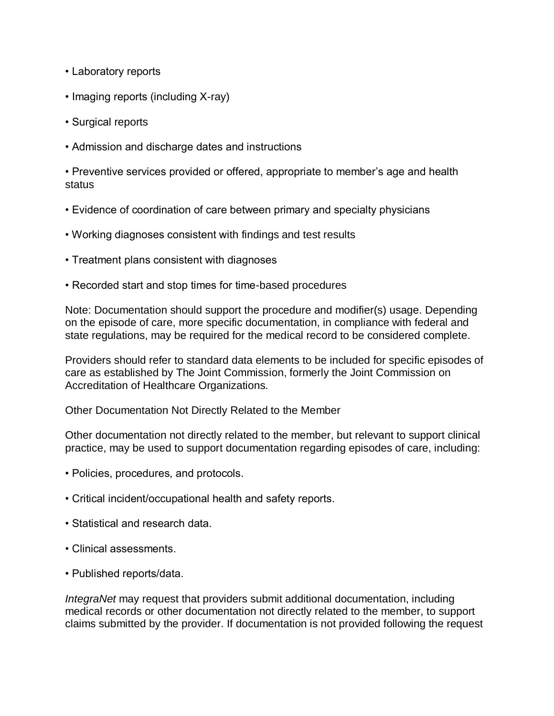- Laboratory reports
- Imaging reports (including X-ray)
- Surgical reports
- Admission and discharge dates and instructions

• Preventive services provided or offered, appropriate to member's age and health status

- Evidence of coordination of care between primary and specialty physicians
- Working diagnoses consistent with findings and test results
- Treatment plans consistent with diagnoses
- Recorded start and stop times for time-based procedures

Note: Documentation should support the procedure and modifier(s) usage. Depending on the episode of care, more specific documentation, in compliance with federal and state regulations, may be required for the medical record to be considered complete.

Providers should refer to standard data elements to be included for specific episodes of care as established by The Joint Commission, formerly the Joint Commission on Accreditation of Healthcare Organizations.

Other Documentation Not Directly Related to the Member

Other documentation not directly related to the member, but relevant to support clinical practice, may be used to support documentation regarding episodes of care, including:

- Policies, procedures, and protocols.
- Critical incident/occupational health and safety reports.
- Statistical and research data.
- Clinical assessments.
- Published reports/data.

*IntegraNet* may request that providers submit additional documentation, including medical records or other documentation not directly related to the member, to support claims submitted by the provider. If documentation is not provided following the request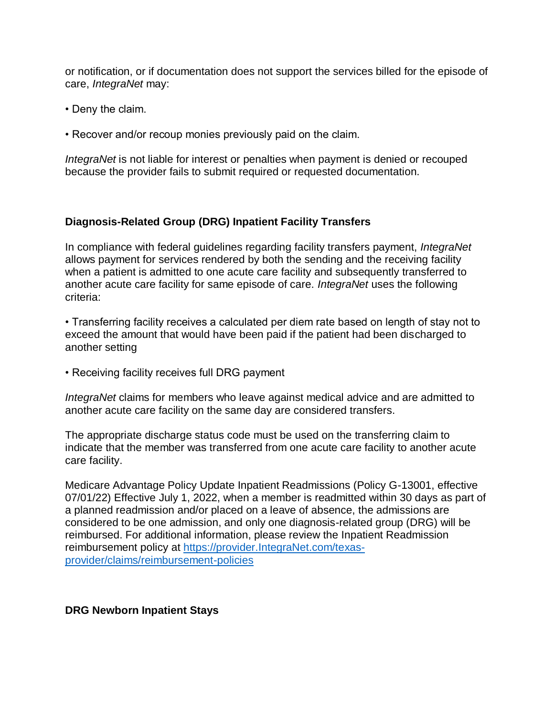or notification, or if documentation does not support the services billed for the episode of care, *IntegraNet* may:

- Deny the claim.
- Recover and/or recoup monies previously paid on the claim.

*IntegraNet* is not liable for interest or penalties when payment is denied or recouped because the provider fails to submit required or requested documentation.

## **Diagnosis-Related Group (DRG) Inpatient Facility Transfers**

In compliance with federal guidelines regarding facility transfers payment, *IntegraNet* allows payment for services rendered by both the sending and the receiving facility when a patient is admitted to one acute care facility and subsequently transferred to another acute care facility for same episode of care. *IntegraNet* uses the following criteria:

• Transferring facility receives a calculated per diem rate based on length of stay not to exceed the amount that would have been paid if the patient had been discharged to another setting

• Receiving facility receives full DRG payment

*IntegraNet* claims for members who leave against medical advice and are admitted to another acute care facility on the same day are considered transfers.

The appropriate discharge status code must be used on the transferring claim to indicate that the member was transferred from one acute care facility to another acute care facility.

Medicare Advantage Policy Update Inpatient Readmissions (Policy G-13001, effective 07/01/22) Effective July 1, 2022, when a member is readmitted within 30 days as part of a planned readmission and/or placed on a leave of absence, the admissions are considered to be one admission, and only one diagnosis-related group (DRG) will be reimbursed. For additional information, please review the Inpatient Readmission reimbursement policy at [https://provider.IntegraNet.com/texas](https://provider.amerigroup.com/texas-provider/claims/reimbursement-policies)[provider/claims/reimbursement-policies](https://provider.amerigroup.com/texas-provider/claims/reimbursement-policies)

## **DRG Newborn Inpatient Stays**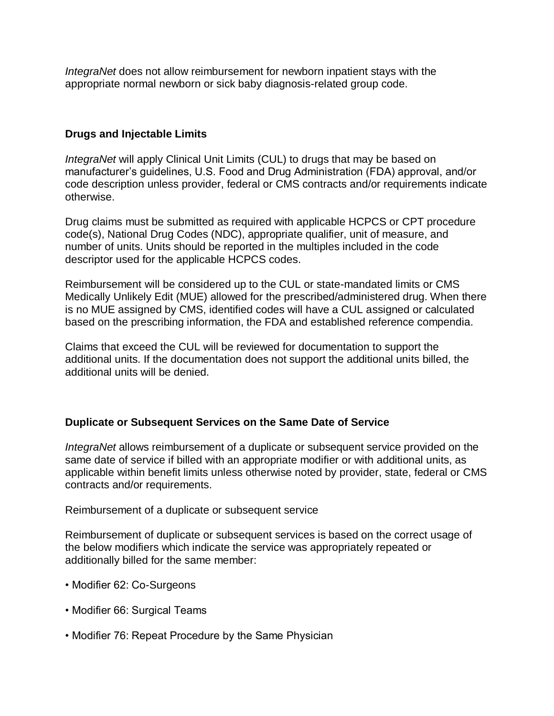*IntegraNet* does not allow reimbursement for newborn inpatient stays with the appropriate normal newborn or sick baby diagnosis-related group code.

## **Drugs and Injectable Limits**

*IntegraNet* will apply Clinical Unit Limits (CUL) to drugs that may be based on manufacturer's guidelines, U.S. Food and Drug Administration (FDA) approval, and/or code description unless provider, federal or CMS contracts and/or requirements indicate otherwise.

Drug claims must be submitted as required with applicable HCPCS or CPT procedure code(s), National Drug Codes (NDC), appropriate qualifier, unit of measure, and number of units. Units should be reported in the multiples included in the code descriptor used for the applicable HCPCS codes.

Reimbursement will be considered up to the CUL or state-mandated limits or CMS Medically Unlikely Edit (MUE) allowed for the prescribed/administered drug. When there is no MUE assigned by CMS, identified codes will have a CUL assigned or calculated based on the prescribing information, the FDA and established reference compendia.

Claims that exceed the CUL will be reviewed for documentation to support the additional units. If the documentation does not support the additional units billed, the additional units will be denied.

## **Duplicate or Subsequent Services on the Same Date of Service**

*IntegraNet* allows reimbursement of a duplicate or subsequent service provided on the same date of service if billed with an appropriate modifier or with additional units, as applicable within benefit limits unless otherwise noted by provider, state, federal or CMS contracts and/or requirements.

Reimbursement of a duplicate or subsequent service

Reimbursement of duplicate or subsequent services is based on the correct usage of the below modifiers which indicate the service was appropriately repeated or additionally billed for the same member:

- Modifier 62: Co-Surgeons
- Modifier 66: Surgical Teams
- Modifier 76: Repeat Procedure by the Same Physician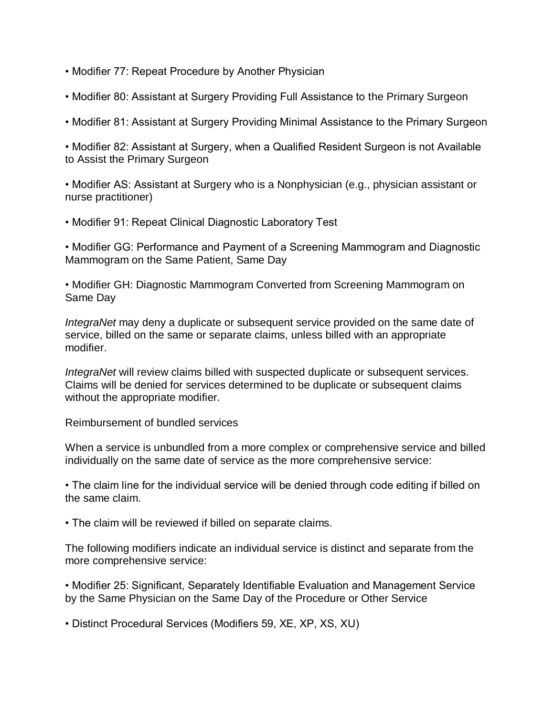- Modifier 77: Repeat Procedure by Another Physician
- Modifier 80: Assistant at Surgery Providing Full Assistance to the Primary Surgeon
- Modifier 81: Assistant at Surgery Providing Minimal Assistance to the Primary Surgeon

• Modifier 82: Assistant at Surgery, when a Qualified Resident Surgeon is not Available to Assist the Primary Surgeon

• Modifier AS: Assistant at Surgery who is a Nonphysician (e.g., physician assistant or nurse practitioner)

• Modifier 91: Repeat Clinical Diagnostic Laboratory Test

• Modifier GG: Performance and Payment of a Screening Mammogram and Diagnostic Mammogram on the Same Patient, Same Day

• Modifier GH: Diagnostic Mammogram Converted from Screening Mammogram on Same Day

*IntegraNet* may deny a duplicate or subsequent service provided on the same date of service, billed on the same or separate claims, unless billed with an appropriate modifier.

*IntegraNet* will review claims billed with suspected duplicate or subsequent services. Claims will be denied for services determined to be duplicate or subsequent claims without the appropriate modifier.

Reimbursement of bundled services

When a service is unbundled from a more complex or comprehensive service and billed individually on the same date of service as the more comprehensive service:

• The claim line for the individual service will be denied through code editing if billed on the same claim.

• The claim will be reviewed if billed on separate claims.

The following modifiers indicate an individual service is distinct and separate from the more comprehensive service:

• Modifier 25: Significant, Separately Identifiable Evaluation and Management Service by the Same Physician on the Same Day of the Procedure or Other Service

• Distinct Procedural Services (Modifiers 59, XE, XP, XS, XU)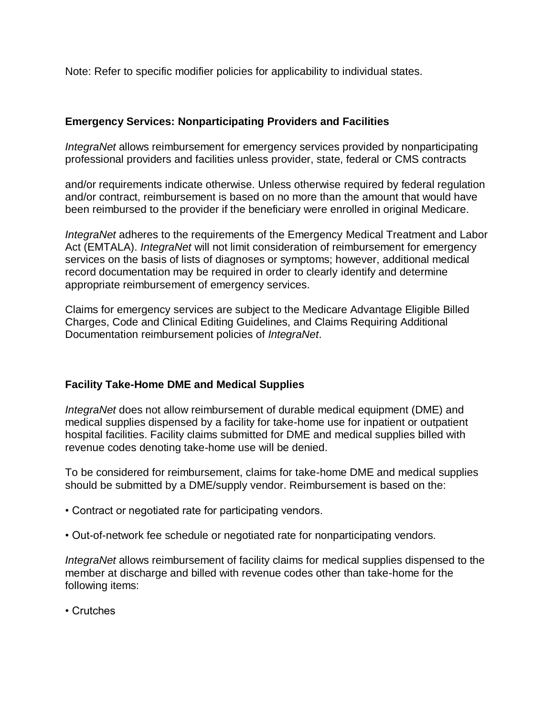Note: Refer to specific modifier policies for applicability to individual states.

# **Emergency Services: Nonparticipating Providers and Facilities**

*IntegraNet* allows reimbursement for emergency services provided by nonparticipating professional providers and facilities unless provider, state, federal or CMS contracts

and/or requirements indicate otherwise. Unless otherwise required by federal regulation and/or contract, reimbursement is based on no more than the amount that would have been reimbursed to the provider if the beneficiary were enrolled in original Medicare.

*IntegraNet* adheres to the requirements of the Emergency Medical Treatment and Labor Act (EMTALA). *IntegraNet* will not limit consideration of reimbursement for emergency services on the basis of lists of diagnoses or symptoms; however, additional medical record documentation may be required in order to clearly identify and determine appropriate reimbursement of emergency services.

Claims for emergency services are subject to the Medicare Advantage Eligible Billed Charges, Code and Clinical Editing Guidelines, and Claims Requiring Additional Documentation reimbursement policies of *IntegraNet*.

# **Facility Take-Home DME and Medical Supplies**

*IntegraNet* does not allow reimbursement of durable medical equipment (DME) and medical supplies dispensed by a facility for take-home use for inpatient or outpatient hospital facilities. Facility claims submitted for DME and medical supplies billed with revenue codes denoting take-home use will be denied.

To be considered for reimbursement, claims for take-home DME and medical supplies should be submitted by a DME/supply vendor. Reimbursement is based on the:

- Contract or negotiated rate for participating vendors.
- Out-of-network fee schedule or negotiated rate for nonparticipating vendors.

*IntegraNet* allows reimbursement of facility claims for medical supplies dispensed to the member at discharge and billed with revenue codes other than take-home for the following items:

• Crutches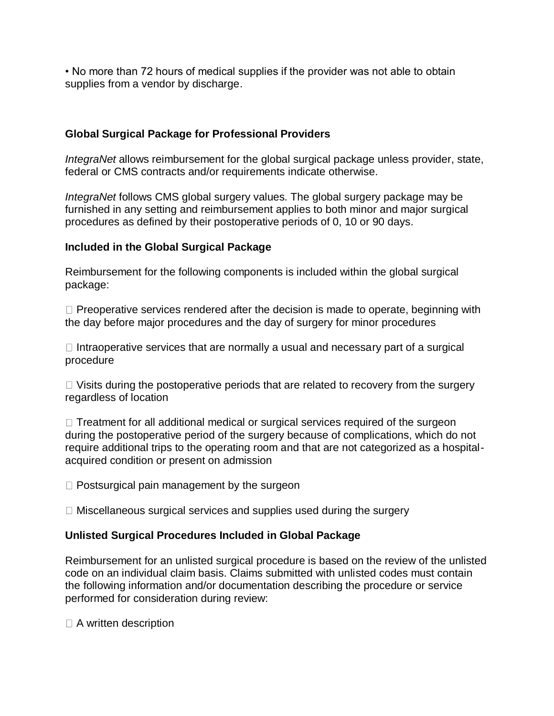• No more than 72 hours of medical supplies if the provider was not able to obtain supplies from a vendor by discharge.

## **Global Surgical Package for Professional Providers**

*IntegraNet* allows reimbursement for the global surgical package unless provider, state, federal or CMS contracts and/or requirements indicate otherwise.

*IntegraNet* follows CMS global surgery values. The global surgery package may be furnished in any setting and reimbursement applies to both minor and major surgical procedures as defined by their postoperative periods of 0, 10 or 90 days.

# **Included in the Global Surgical Package**

Reimbursement for the following components is included within the global surgical package:

 $\Box$  Preoperative services rendered after the decision is made to operate, beginning with the day before major procedures and the day of surgery for minor procedures

 $\Box$  Intraoperative services that are normally a usual and necessary part of a surgical procedure

 $\Box$  Visits during the postoperative periods that are related to recovery from the surgery regardless of location

 $\Box$  Treatment for all additional medical or surgical services required of the surgeon during the postoperative period of the surgery because of complications, which do not require additional trips to the operating room and that are not categorized as a hospitalacquired condition or present on admission

 $\Box$  Postsurgical pain management by the surgeon

 $\Box$  Miscellaneous surgical services and supplies used during the surgery

## **Unlisted Surgical Procedures Included in Global Package**

Reimbursement for an unlisted surgical procedure is based on the review of the unlisted code on an individual claim basis. Claims submitted with unlisted codes must contain the following information and/or documentation describing the procedure or service performed for consideration during review:

 $\Box$  A written description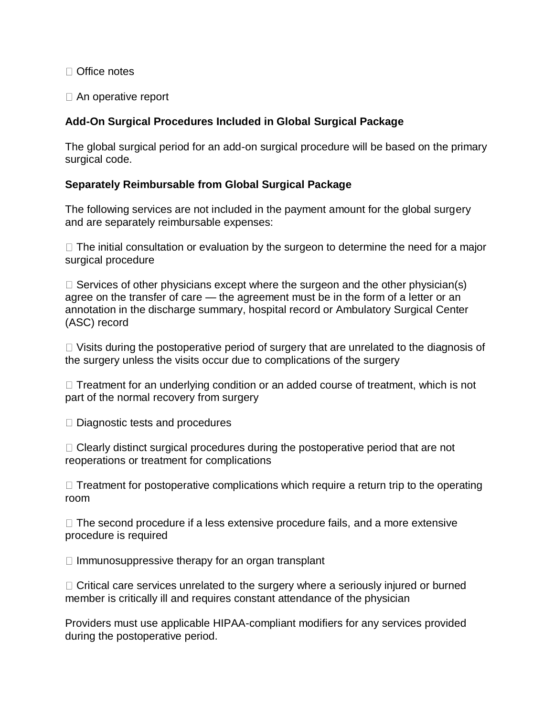Office notes

□ An operative report

# **Add-On Surgical Procedures Included in Global Surgical Package**

The global surgical period for an add-on surgical procedure will be based on the primary surgical code.

# **Separately Reimbursable from Global Surgical Package**

The following services are not included in the payment amount for the global surgery and are separately reimbursable expenses:

 $\Box$  The initial consultation or evaluation by the surgeon to determine the need for a major surgical procedure

 $\Box$  Services of other physicians except where the surgeon and the other physician(s) agree on the transfer of care — the agreement must be in the form of a letter or an annotation in the discharge summary, hospital record or Ambulatory Surgical Center (ASC) record

 $\Box$  Visits during the postoperative period of surgery that are unrelated to the diagnosis of the surgery unless the visits occur due to complications of the surgery

 $\Box$  Treatment for an underlying condition or an added course of treatment, which is not part of the normal recovery from surgery

 $\Box$  Diagnostic tests and procedures

 $\Box$  Clearly distinct surgical procedures during the postoperative period that are not reoperations or treatment for complications

 $\Box$  Treatment for postoperative complications which require a return trip to the operating room

 $\Box$  The second procedure if a less extensive procedure fails, and a more extensive procedure is required

 $\Box$  Immunosuppressive therapy for an organ transplant

 $\Box$  Critical care services unrelated to the surgery where a seriously injured or burned member is critically ill and requires constant attendance of the physician

Providers must use applicable HIPAA-compliant modifiers for any services provided during the postoperative period.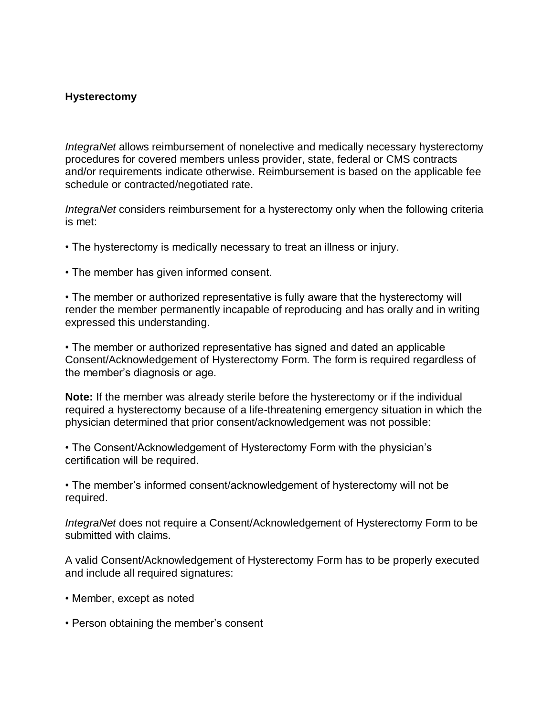## **Hysterectomy**

*IntegraNet* allows reimbursement of nonelective and medically necessary hysterectomy procedures for covered members unless provider, state, federal or CMS contracts and/or requirements indicate otherwise. Reimbursement is based on the applicable fee schedule or contracted/negotiated rate.

*IntegraNet* considers reimbursement for a hysterectomy only when the following criteria is met:

• The hysterectomy is medically necessary to treat an illness or injury.

• The member has given informed consent.

• The member or authorized representative is fully aware that the hysterectomy will render the member permanently incapable of reproducing and has orally and in writing expressed this understanding.

• The member or authorized representative has signed and dated an applicable Consent/Acknowledgement of Hysterectomy Form. The form is required regardless of the member's diagnosis or age.

**Note:** If the member was already sterile before the hysterectomy or if the individual required a hysterectomy because of a life-threatening emergency situation in which the physician determined that prior consent/acknowledgement was not possible:

• The Consent/Acknowledgement of Hysterectomy Form with the physician's certification will be required.

• The member's informed consent/acknowledgement of hysterectomy will not be required.

*IntegraNet* does not require a Consent/Acknowledgement of Hysterectomy Form to be submitted with claims.

A valid Consent/Acknowledgement of Hysterectomy Form has to be properly executed and include all required signatures:

- Member, except as noted
- Person obtaining the member's consent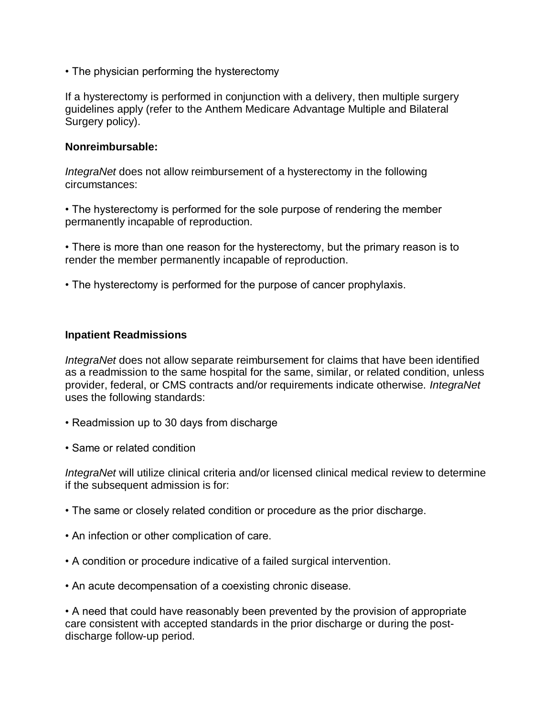• The physician performing the hysterectomy

If a hysterectomy is performed in conjunction with a delivery, then multiple surgery guidelines apply (refer to the Anthem Medicare Advantage Multiple and Bilateral Surgery policy).

#### **Nonreimbursable:**

*IntegraNet* does not allow reimbursement of a hysterectomy in the following circumstances:

• The hysterectomy is performed for the sole purpose of rendering the member permanently incapable of reproduction.

• There is more than one reason for the hysterectomy, but the primary reason is to render the member permanently incapable of reproduction.

• The hysterectomy is performed for the purpose of cancer prophylaxis.

#### **Inpatient Readmissions**

*IntegraNet* does not allow separate reimbursement for claims that have been identified as a readmission to the same hospital for the same, similar, or related condition, unless provider, federal, or CMS contracts and/or requirements indicate otherwise. *IntegraNet* uses the following standards:

- Readmission up to 30 days from discharge
- Same or related condition

*IntegraNet* will utilize clinical criteria and/or licensed clinical medical review to determine if the subsequent admission is for:

- The same or closely related condition or procedure as the prior discharge.
- An infection or other complication of care.
- A condition or procedure indicative of a failed surgical intervention.
- An acute decompensation of a coexisting chronic disease.

• A need that could have reasonably been prevented by the provision of appropriate care consistent with accepted standards in the prior discharge or during the postdischarge follow-up period.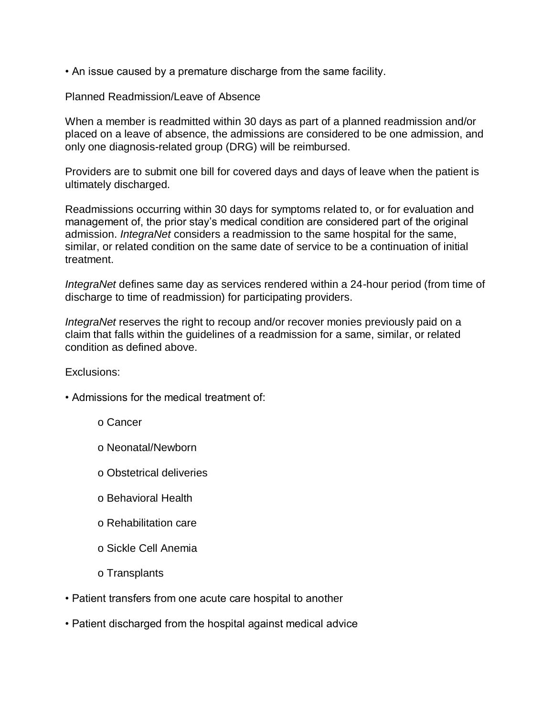• An issue caused by a premature discharge from the same facility.

## Planned Readmission/Leave of Absence

When a member is readmitted within 30 days as part of a planned readmission and/or placed on a leave of absence, the admissions are considered to be one admission, and only one diagnosis-related group (DRG) will be reimbursed.

Providers are to submit one bill for covered days and days of leave when the patient is ultimately discharged.

Readmissions occurring within 30 days for symptoms related to, or for evaluation and management of, the prior stay's medical condition are considered part of the original admission. *IntegraNet* considers a readmission to the same hospital for the same, similar, or related condition on the same date of service to be a continuation of initial treatment.

*IntegraNet* defines same day as services rendered within a 24-hour period (from time of discharge to time of readmission) for participating providers.

*IntegraNet* reserves the right to recoup and/or recover monies previously paid on a claim that falls within the guidelines of a readmission for a same, similar, or related condition as defined above.

Exclusions:

- Admissions for the medical treatment of:
	- o Cancer
	- o Neonatal/Newborn
	- o Obstetrical deliveries
	- o Behavioral Health
	- o Rehabilitation care
	- o Sickle Cell Anemia
	- o Transplants
- Patient transfers from one acute care hospital to another
- Patient discharged from the hospital against medical advice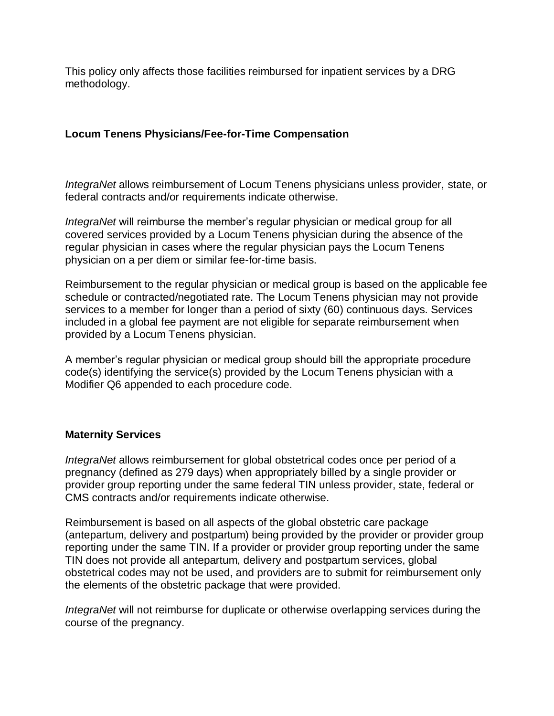This policy only affects those facilities reimbursed for inpatient services by a DRG methodology.

# **Locum Tenens Physicians/Fee-for-Time Compensation**

*IntegraNet* allows reimbursement of Locum Tenens physicians unless provider, state, or federal contracts and/or requirements indicate otherwise.

*IntegraNet* will reimburse the member's regular physician or medical group for all covered services provided by a Locum Tenens physician during the absence of the regular physician in cases where the regular physician pays the Locum Tenens physician on a per diem or similar fee-for-time basis.

Reimbursement to the regular physician or medical group is based on the applicable fee schedule or contracted/negotiated rate. The Locum Tenens physician may not provide services to a member for longer than a period of sixty (60) continuous days. Services included in a global fee payment are not eligible for separate reimbursement when provided by a Locum Tenens physician.

A member's regular physician or medical group should bill the appropriate procedure code(s) identifying the service(s) provided by the Locum Tenens physician with a Modifier Q6 appended to each procedure code.

## **Maternity Services**

*IntegraNet* allows reimbursement for global obstetrical codes once per period of a pregnancy (defined as 279 days) when appropriately billed by a single provider or provider group reporting under the same federal TIN unless provider, state, federal or CMS contracts and/or requirements indicate otherwise.

Reimbursement is based on all aspects of the global obstetric care package (antepartum, delivery and postpartum) being provided by the provider or provider group reporting under the same TIN. If a provider or provider group reporting under the same TIN does not provide all antepartum, delivery and postpartum services, global obstetrical codes may not be used, and providers are to submit for reimbursement only the elements of the obstetric package that were provided.

*IntegraNet* will not reimburse for duplicate or otherwise overlapping services during the course of the pregnancy.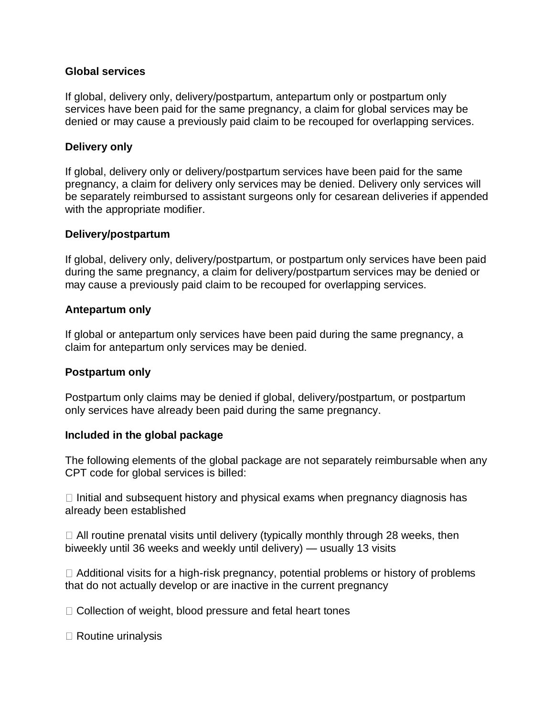### **Global services**

If global, delivery only, delivery/postpartum, antepartum only or postpartum only services have been paid for the same pregnancy, a claim for global services may be denied or may cause a previously paid claim to be recouped for overlapping services.

#### **Delivery only**

If global, delivery only or delivery/postpartum services have been paid for the same pregnancy, a claim for delivery only services may be denied. Delivery only services will be separately reimbursed to assistant surgeons only for cesarean deliveries if appended with the appropriate modifier.

#### **Delivery/postpartum**

If global, delivery only, delivery/postpartum, or postpartum only services have been paid during the same pregnancy, a claim for delivery/postpartum services may be denied or may cause a previously paid claim to be recouped for overlapping services.

#### **Antepartum only**

If global or antepartum only services have been paid during the same pregnancy, a claim for antepartum only services may be denied.

#### **Postpartum only**

Postpartum only claims may be denied if global, delivery/postpartum, or postpartum only services have already been paid during the same pregnancy.

#### **Included in the global package**

The following elements of the global package are not separately reimbursable when any CPT code for global services is billed:

 $\Box$  Initial and subsequent history and physical exams when pregnancy diagnosis has already been established

 $\Box$  All routine prenatal visits until delivery (typically monthly through 28 weeks, then biweekly until 36 weeks and weekly until delivery) — usually 13 visits

 $\Box$  Additional visits for a high-risk pregnancy, potential problems or history of problems that do not actually develop or are inactive in the current pregnancy

 $\Box$  Collection of weight, blood pressure and fetal heart tones

□ Routine urinalysis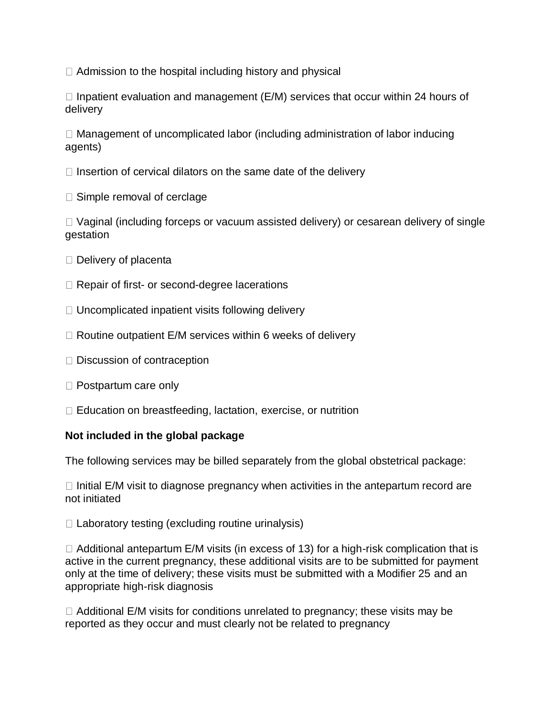$\Box$  Admission to the hospital including history and physical

 $\Box$  Inpatient evaluation and management (E/M) services that occur within 24 hours of delivery

 $\Box$  Management of uncomplicated labor (including administration of labor inducing agents)

 $\Box$  Insertion of cervical dilators on the same date of the delivery

 $\Box$  Simple removal of cerclage

 $\Box$  Vaginal (including forceps or vacuum assisted delivery) or cesarean delivery of single gestation

- $\Box$  Delivery of placenta
- □ Repair of first- or second-degree lacerations
- $\Box$  Uncomplicated inpatient visits following delivery
- $\Box$  Routine outpatient E/M services within 6 weeks of delivery
- $\Box$  Discussion of contraception
- $\Box$  Postpartum care only
- $\Box$  Education on breastfeeding, lactation, exercise, or nutrition

# **Not included in the global package**

The following services may be billed separately from the global obstetrical package:

 $\Box$  Initial E/M visit to diagnose pregnancy when activities in the antepartum record are not initiated

 $\Box$  Laboratory testing (excluding routine urinalysis)

 $\Box$  Additional antepartum E/M visits (in excess of 13) for a high-risk complication that is active in the current pregnancy, these additional visits are to be submitted for payment only at the time of delivery; these visits must be submitted with a Modifier 25 and an appropriate high-risk diagnosis

 $\Box$  Additional E/M visits for conditions unrelated to pregnancy; these visits may be reported as they occur and must clearly not be related to pregnancy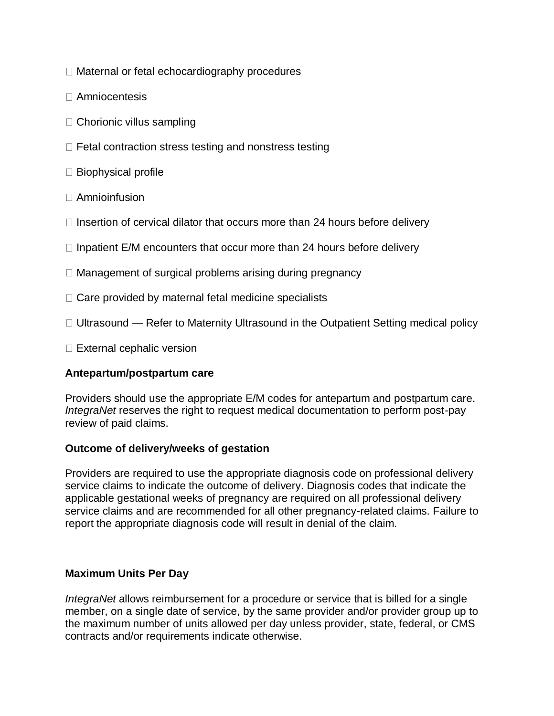- □ Maternal or fetal echocardiography procedures
- Amniocentesis
- $\Box$  Chorionic villus sampling
- $\Box$  Fetal contraction stress testing and nonstress testing
- $\square$  Biophysical profile
- $\Box$  Amnioinfusion
- $\Box$  Insertion of cervical dilator that occurs more than 24 hours before delivery
- $\Box$  Inpatient E/M encounters that occur more than 24 hours before delivery
- $\Box$  Management of surgical problems arising during pregnancy
- $\Box$  Care provided by maternal fetal medicine specialists
- $\Box$  Ultrasound Refer to Maternity Ultrasound in the Outpatient Setting medical policy
- $\Box$  External cephalic version

## **Antepartum/postpartum care**

Providers should use the appropriate E/M codes for antepartum and postpartum care. *IntegraNet* reserves the right to request medical documentation to perform post-pay review of paid claims.

## **Outcome of delivery/weeks of gestation**

Providers are required to use the appropriate diagnosis code on professional delivery service claims to indicate the outcome of delivery. Diagnosis codes that indicate the applicable gestational weeks of pregnancy are required on all professional delivery service claims and are recommended for all other pregnancy-related claims. Failure to report the appropriate diagnosis code will result in denial of the claim.

## **Maximum Units Per Day**

*IntegraNet* allows reimbursement for a procedure or service that is billed for a single member, on a single date of service, by the same provider and/or provider group up to the maximum number of units allowed per day unless provider, state, federal, or CMS contracts and/or requirements indicate otherwise.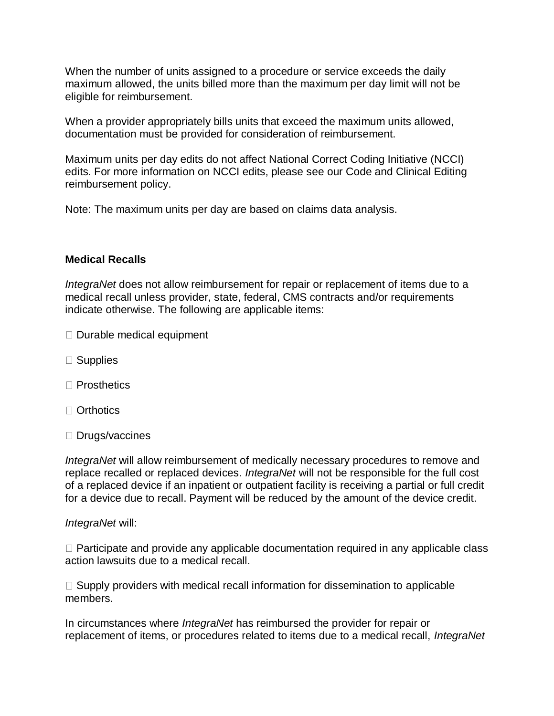When the number of units assigned to a procedure or service exceeds the daily maximum allowed, the units billed more than the maximum per day limit will not be eligible for reimbursement.

When a provider appropriately bills units that exceed the maximum units allowed, documentation must be provided for consideration of reimbursement.

Maximum units per day edits do not affect National Correct Coding Initiative (NCCI) edits. For more information on NCCI edits, please see our Code and Clinical Editing reimbursement policy.

Note: The maximum units per day are based on claims data analysis.

#### **Medical Recalls**

*IntegraNet* does not allow reimbursement for repair or replacement of items due to a medical recall unless provider, state, federal, CMS contracts and/or requirements indicate otherwise. The following are applicable items:

- $\Box$  Durable medical equipment
- $\square$  Supplies
- $\Box$  Prosthetics
- Orthotics
- $\square$  Drugs/vaccines

*IntegraNet* will allow reimbursement of medically necessary procedures to remove and replace recalled or replaced devices. *IntegraNet* will not be responsible for the full cost of a replaced device if an inpatient or outpatient facility is receiving a partial or full credit for a device due to recall. Payment will be reduced by the amount of the device credit.

#### *IntegraNet* will:

 $\Box$  Participate and provide any applicable documentation required in any applicable class action lawsuits due to a medical recall.

 $\Box$  Supply providers with medical recall information for dissemination to applicable members.

In circumstances where *IntegraNet* has reimbursed the provider for repair or replacement of items, or procedures related to items due to a medical recall, *IntegraNet*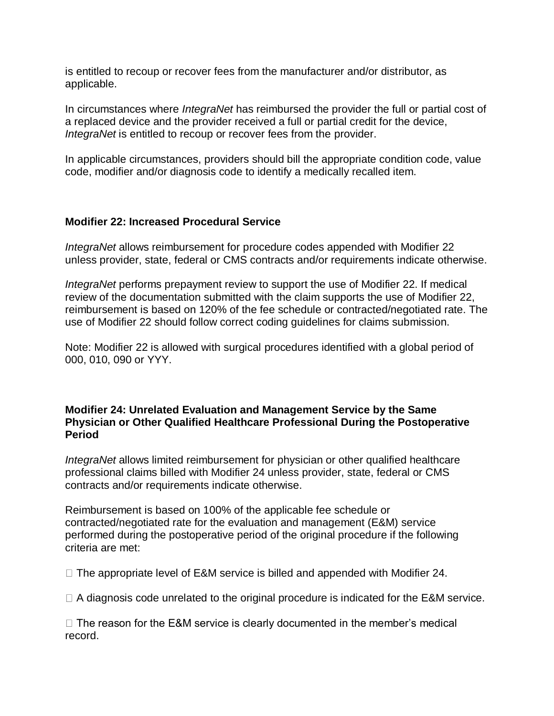is entitled to recoup or recover fees from the manufacturer and/or distributor, as applicable.

In circumstances where *IntegraNet* has reimbursed the provider the full or partial cost of a replaced device and the provider received a full or partial credit for the device, *IntegraNet* is entitled to recoup or recover fees from the provider.

In applicable circumstances, providers should bill the appropriate condition code, value code, modifier and/or diagnosis code to identify a medically recalled item.

# **Modifier 22: Increased Procedural Service**

*IntegraNet* allows reimbursement for procedure codes appended with Modifier 22 unless provider, state, federal or CMS contracts and/or requirements indicate otherwise.

*IntegraNet* performs prepayment review to support the use of Modifier 22. If medical review of the documentation submitted with the claim supports the use of Modifier 22, reimbursement is based on 120% of the fee schedule or contracted/negotiated rate. The use of Modifier 22 should follow correct coding guidelines for claims submission.

Note: Modifier 22 is allowed with surgical procedures identified with a global period of 000, 010, 090 or YYY.

## **Modifier 24: Unrelated Evaluation and Management Service by the Same Physician or Other Qualified Healthcare Professional During the Postoperative Period**

*IntegraNet* allows limited reimbursement for physician or other qualified healthcare professional claims billed with Modifier 24 unless provider, state, federal or CMS contracts and/or requirements indicate otherwise.

Reimbursement is based on 100% of the applicable fee schedule or contracted/negotiated rate for the evaluation and management (E&M) service performed during the postoperative period of the original procedure if the following criteria are met:

 $\Box$  The appropriate level of E&M service is billed and appended with Modifier 24.

 $\Box$  A diagnosis code unrelated to the original procedure is indicated for the E&M service.

 $\Box$  The reason for the E&M service is clearly documented in the member's medical record.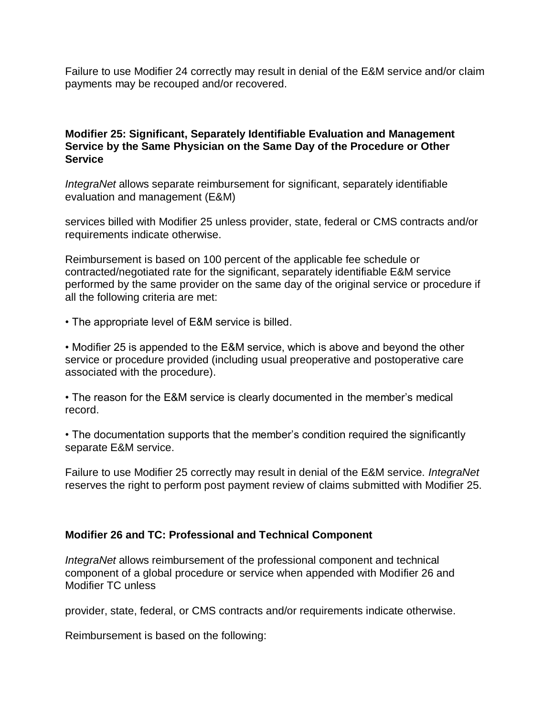Failure to use Modifier 24 correctly may result in denial of the E&M service and/or claim payments may be recouped and/or recovered.

## **Modifier 25: Significant, Separately Identifiable Evaluation and Management Service by the Same Physician on the Same Day of the Procedure or Other Service**

*IntegraNet* allows separate reimbursement for significant, separately identifiable evaluation and management (E&M)

services billed with Modifier 25 unless provider, state, federal or CMS contracts and/or requirements indicate otherwise.

Reimbursement is based on 100 percent of the applicable fee schedule or contracted/negotiated rate for the significant, separately identifiable E&M service performed by the same provider on the same day of the original service or procedure if all the following criteria are met:

• The appropriate level of E&M service is billed.

• Modifier 25 is appended to the E&M service, which is above and beyond the other service or procedure provided (including usual preoperative and postoperative care associated with the procedure).

• The reason for the E&M service is clearly documented in the member's medical record.

• The documentation supports that the member's condition required the significantly separate E&M service.

Failure to use Modifier 25 correctly may result in denial of the E&M service. *IntegraNet* reserves the right to perform post payment review of claims submitted with Modifier 25.

#### **Modifier 26 and TC: Professional and Technical Component**

*IntegraNet* allows reimbursement of the professional component and technical component of a global procedure or service when appended with Modifier 26 and Modifier TC unless

provider, state, federal, or CMS contracts and/or requirements indicate otherwise.

Reimbursement is based on the following: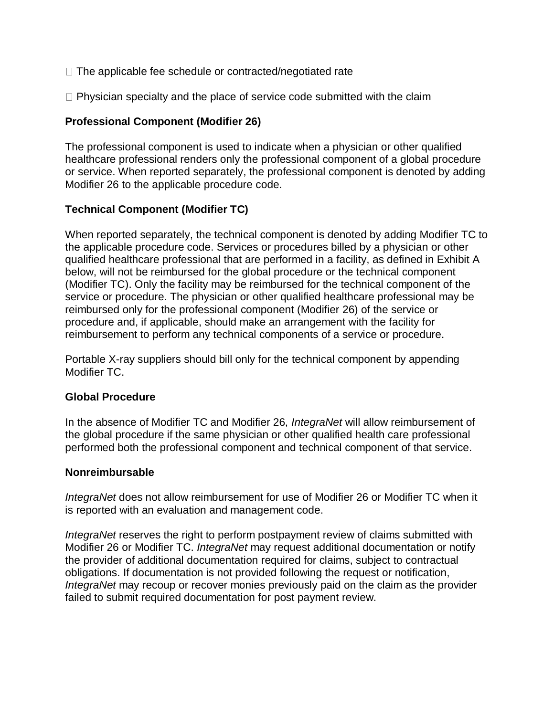- $\Box$  The applicable fee schedule or contracted/negotiated rate
- $\Box$  Physician specialty and the place of service code submitted with the claim

# **Professional Component (Modifier 26)**

The professional component is used to indicate when a physician or other qualified healthcare professional renders only the professional component of a global procedure or service. When reported separately, the professional component is denoted by adding Modifier 26 to the applicable procedure code.

# **Technical Component (Modifier TC)**

When reported separately, the technical component is denoted by adding Modifier TC to the applicable procedure code. Services or procedures billed by a physician or other qualified healthcare professional that are performed in a facility, as defined in Exhibit A below, will not be reimbursed for the global procedure or the technical component (Modifier TC). Only the facility may be reimbursed for the technical component of the service or procedure. The physician or other qualified healthcare professional may be reimbursed only for the professional component (Modifier 26) of the service or procedure and, if applicable, should make an arrangement with the facility for reimbursement to perform any technical components of a service or procedure.

Portable X-ray suppliers should bill only for the technical component by appending Modifier TC.

## **Global Procedure**

In the absence of Modifier TC and Modifier 26, *IntegraNet* will allow reimbursement of the global procedure if the same physician or other qualified health care professional performed both the professional component and technical component of that service.

## **Nonreimbursable**

*IntegraNet* does not allow reimbursement for use of Modifier 26 or Modifier TC when it is reported with an evaluation and management code.

*IntegraNet* reserves the right to perform postpayment review of claims submitted with Modifier 26 or Modifier TC. *IntegraNet* may request additional documentation or notify the provider of additional documentation required for claims, subject to contractual obligations. If documentation is not provided following the request or notification, *IntegraNet* may recoup or recover monies previously paid on the claim as the provider failed to submit required documentation for post payment review.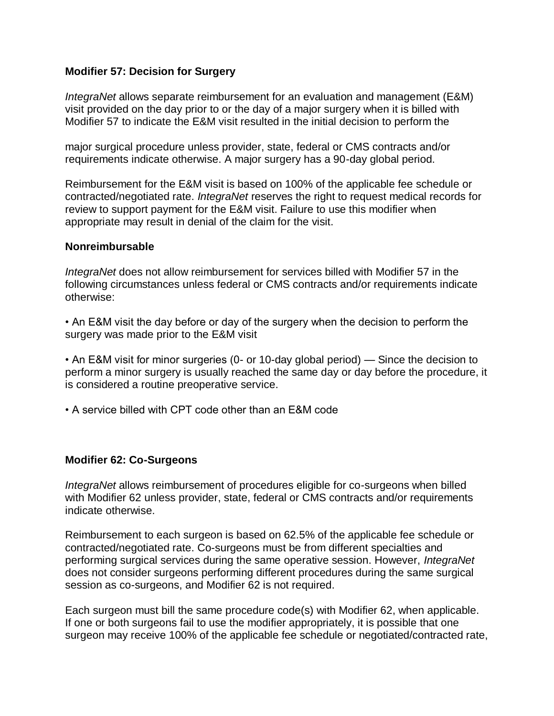## **Modifier 57: Decision for Surgery**

*IntegraNet* allows separate reimbursement for an evaluation and management (E&M) visit provided on the day prior to or the day of a major surgery when it is billed with Modifier 57 to indicate the E&M visit resulted in the initial decision to perform the

major surgical procedure unless provider, state, federal or CMS contracts and/or requirements indicate otherwise. A major surgery has a 90-day global period.

Reimbursement for the E&M visit is based on 100% of the applicable fee schedule or contracted/negotiated rate. *IntegraNet* reserves the right to request medical records for review to support payment for the E&M visit. Failure to use this modifier when appropriate may result in denial of the claim for the visit.

#### **Nonreimbursable**

*IntegraNet* does not allow reimbursement for services billed with Modifier 57 in the following circumstances unless federal or CMS contracts and/or requirements indicate otherwise:

• An E&M visit the day before or day of the surgery when the decision to perform the surgery was made prior to the E&M visit

• An E&M visit for minor surgeries (0- or 10-day global period) — Since the decision to perform a minor surgery is usually reached the same day or day before the procedure, it is considered a routine preoperative service.

• A service billed with CPT code other than an E&M code

## **Modifier 62: Co-Surgeons**

*IntegraNet* allows reimbursement of procedures eligible for co-surgeons when billed with Modifier 62 unless provider, state, federal or CMS contracts and/or requirements indicate otherwise.

Reimbursement to each surgeon is based on 62.5% of the applicable fee schedule or contracted/negotiated rate. Co-surgeons must be from different specialties and performing surgical services during the same operative session. However, *IntegraNet* does not consider surgeons performing different procedures during the same surgical session as co-surgeons, and Modifier 62 is not required.

Each surgeon must bill the same procedure code(s) with Modifier 62, when applicable. If one or both surgeons fail to use the modifier appropriately, it is possible that one surgeon may receive 100% of the applicable fee schedule or negotiated/contracted rate,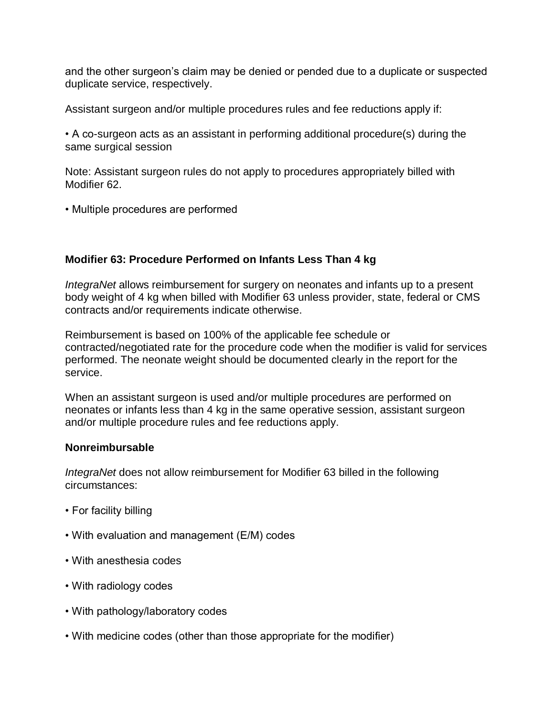and the other surgeon's claim may be denied or pended due to a duplicate or suspected duplicate service, respectively.

Assistant surgeon and/or multiple procedures rules and fee reductions apply if:

• A co-surgeon acts as an assistant in performing additional procedure(s) during the same surgical session

Note: Assistant surgeon rules do not apply to procedures appropriately billed with Modifier 62.

• Multiple procedures are performed

## **Modifier 63: Procedure Performed on Infants Less Than 4 kg**

*IntegraNet* allows reimbursement for surgery on neonates and infants up to a present body weight of 4 kg when billed with Modifier 63 unless provider, state, federal or CMS contracts and/or requirements indicate otherwise.

Reimbursement is based on 100% of the applicable fee schedule or contracted/negotiated rate for the procedure code when the modifier is valid for services performed. The neonate weight should be documented clearly in the report for the service.

When an assistant surgeon is used and/or multiple procedures are performed on neonates or infants less than 4 kg in the same operative session, assistant surgeon and/or multiple procedure rules and fee reductions apply.

## **Nonreimbursable**

*IntegraNet* does not allow reimbursement for Modifier 63 billed in the following circumstances:

- For facility billing
- With evaluation and management (E/M) codes
- With anesthesia codes
- With radiology codes
- With pathology/laboratory codes
- With medicine codes (other than those appropriate for the modifier)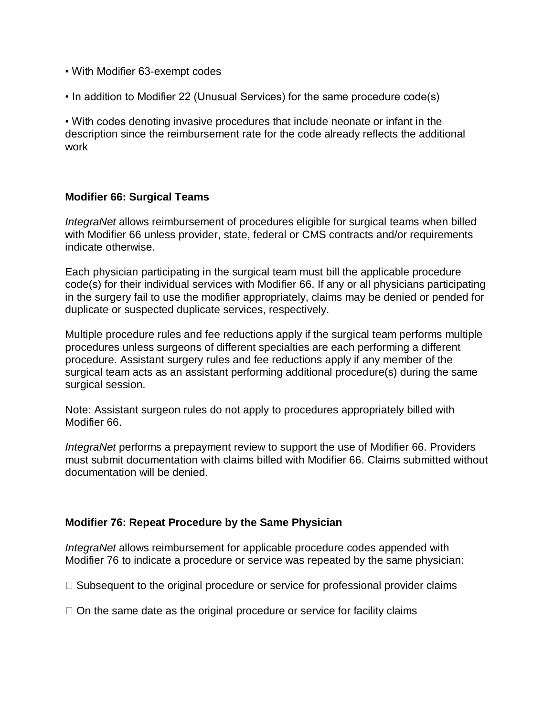- With Modifier 63-exempt codes
- In addition to Modifier 22 (Unusual Services) for the same procedure code(s)

• With codes denoting invasive procedures that include neonate or infant in the description since the reimbursement rate for the code already reflects the additional work

#### **Modifier 66: Surgical Teams**

*IntegraNet* allows reimbursement of procedures eligible for surgical teams when billed with Modifier 66 unless provider, state, federal or CMS contracts and/or requirements indicate otherwise.

Each physician participating in the surgical team must bill the applicable procedure code(s) for their individual services with Modifier 66. If any or all physicians participating in the surgery fail to use the modifier appropriately, claims may be denied or pended for duplicate or suspected duplicate services, respectively.

Multiple procedure rules and fee reductions apply if the surgical team performs multiple procedures unless surgeons of different specialties are each performing a different procedure. Assistant surgery rules and fee reductions apply if any member of the surgical team acts as an assistant performing additional procedure(s) during the same surgical session.

Note: Assistant surgeon rules do not apply to procedures appropriately billed with Modifier 66.

*IntegraNet* performs a prepayment review to support the use of Modifier 66. Providers must submit documentation with claims billed with Modifier 66. Claims submitted without documentation will be denied.

#### **Modifier 76: Repeat Procedure by the Same Physician**

*IntegraNet* allows reimbursement for applicable procedure codes appended with Modifier 76 to indicate a procedure or service was repeated by the same physician:

 $\Box$  Subsequent to the original procedure or service for professional provider claims

 $\Box$  On the same date as the original procedure or service for facility claims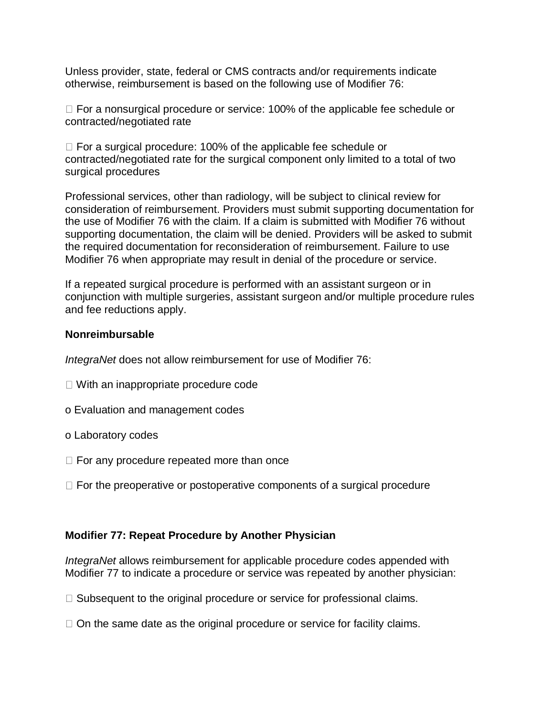Unless provider, state, federal or CMS contracts and/or requirements indicate otherwise, reimbursement is based on the following use of Modifier 76:

 $\Box$  For a nonsurgical procedure or service: 100% of the applicable fee schedule or contracted/negotiated rate

 $\Box$  For a surgical procedure: 100% of the applicable fee schedule or contracted/negotiated rate for the surgical component only limited to a total of two surgical procedures

Professional services, other than radiology, will be subject to clinical review for consideration of reimbursement. Providers must submit supporting documentation for the use of Modifier 76 with the claim. If a claim is submitted with Modifier 76 without supporting documentation, the claim will be denied. Providers will be asked to submit the required documentation for reconsideration of reimbursement. Failure to use Modifier 76 when appropriate may result in denial of the procedure or service.

If a repeated surgical procedure is performed with an assistant surgeon or in conjunction with multiple surgeries, assistant surgeon and/or multiple procedure rules and fee reductions apply.

#### **Nonreimbursable**

*IntegraNet* does not allow reimbursement for use of Modifier 76:

- $\Box$  With an inappropriate procedure code
- o Evaluation and management codes
- o Laboratory codes
- $\Box$  For any procedure repeated more than once
- $\Box$  For the preoperative or postoperative components of a surgical procedure

## **Modifier 77: Repeat Procedure by Another Physician**

*IntegraNet* allows reimbursement for applicable procedure codes appended with Modifier 77 to indicate a procedure or service was repeated by another physician:

- $\Box$  Subsequent to the original procedure or service for professional claims.
- $\Box$  On the same date as the original procedure or service for facility claims.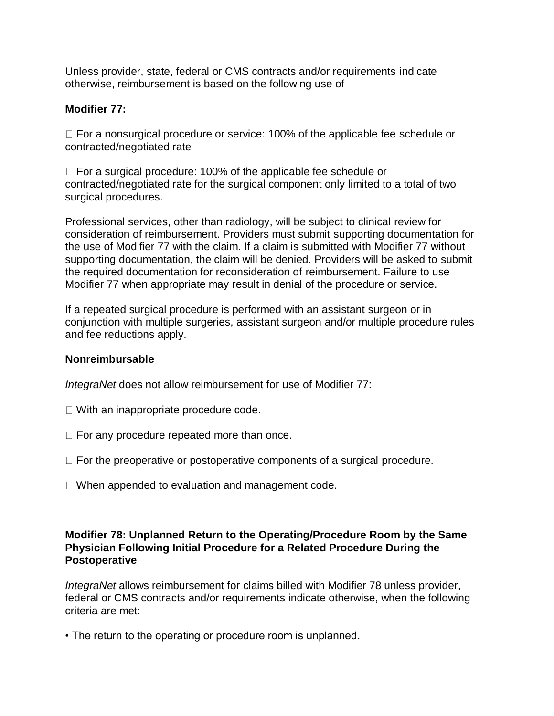Unless provider, state, federal or CMS contracts and/or requirements indicate otherwise, reimbursement is based on the following use of

# **Modifier 77:**

□ For a nonsurgical procedure or service: 100% of the applicable fee schedule or contracted/negotiated rate

 $\Box$  For a surgical procedure: 100% of the applicable fee schedule or contracted/negotiated rate for the surgical component only limited to a total of two surgical procedures.

Professional services, other than radiology, will be subject to clinical review for consideration of reimbursement. Providers must submit supporting documentation for the use of Modifier 77 with the claim. If a claim is submitted with Modifier 77 without supporting documentation, the claim will be denied. Providers will be asked to submit the required documentation for reconsideration of reimbursement. Failure to use Modifier 77 when appropriate may result in denial of the procedure or service.

If a repeated surgical procedure is performed with an assistant surgeon or in conjunction with multiple surgeries, assistant surgeon and/or multiple procedure rules and fee reductions apply.

## **Nonreimbursable**

*IntegraNet* does not allow reimbursement for use of Modifier 77:

- $\Box$  With an inappropriate procedure code.
- $\Box$  For any procedure repeated more than once.
- $\Box$  For the preoperative or postoperative components of a surgical procedure.
- $\Box$  When appended to evaluation and management code.

# **Modifier 78: Unplanned Return to the Operating/Procedure Room by the Same Physician Following Initial Procedure for a Related Procedure During the Postoperative**

*IntegraNet* allows reimbursement for claims billed with Modifier 78 unless provider, federal or CMS contracts and/or requirements indicate otherwise, when the following criteria are met:

• The return to the operating or procedure room is unplanned.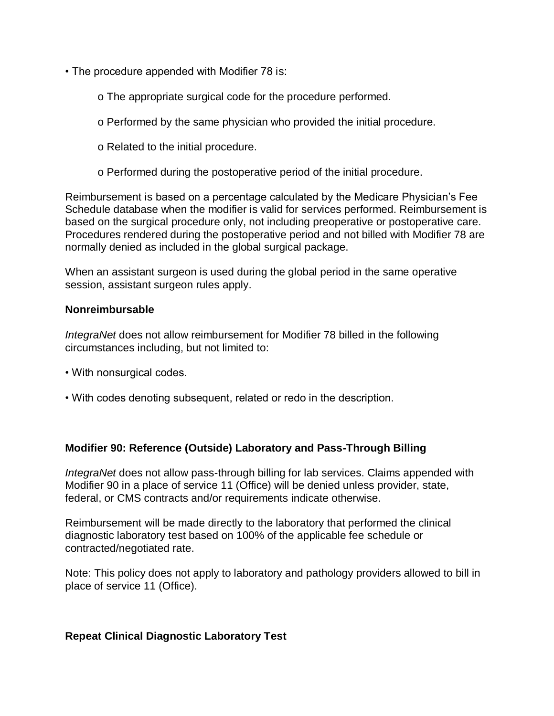- The procedure appended with Modifier 78 is:
	- o The appropriate surgical code for the procedure performed.
	- o Performed by the same physician who provided the initial procedure.
	- o Related to the initial procedure.
	- o Performed during the postoperative period of the initial procedure.

Reimbursement is based on a percentage calculated by the Medicare Physician's Fee Schedule database when the modifier is valid for services performed. Reimbursement is based on the surgical procedure only, not including preoperative or postoperative care. Procedures rendered during the postoperative period and not billed with Modifier 78 are normally denied as included in the global surgical package.

When an assistant surgeon is used during the global period in the same operative session, assistant surgeon rules apply.

## **Nonreimbursable**

*IntegraNet* does not allow reimbursement for Modifier 78 billed in the following circumstances including, but not limited to:

- With nonsurgical codes.
- With codes denoting subsequent, related or redo in the description.

## **Modifier 90: Reference (Outside) Laboratory and Pass-Through Billing**

*IntegraNet* does not allow pass-through billing for lab services. Claims appended with Modifier 90 in a place of service 11 (Office) will be denied unless provider, state, federal, or CMS contracts and/or requirements indicate otherwise.

Reimbursement will be made directly to the laboratory that performed the clinical diagnostic laboratory test based on 100% of the applicable fee schedule or contracted/negotiated rate.

Note: This policy does not apply to laboratory and pathology providers allowed to bill in place of service 11 (Office).

## **Repeat Clinical Diagnostic Laboratory Test**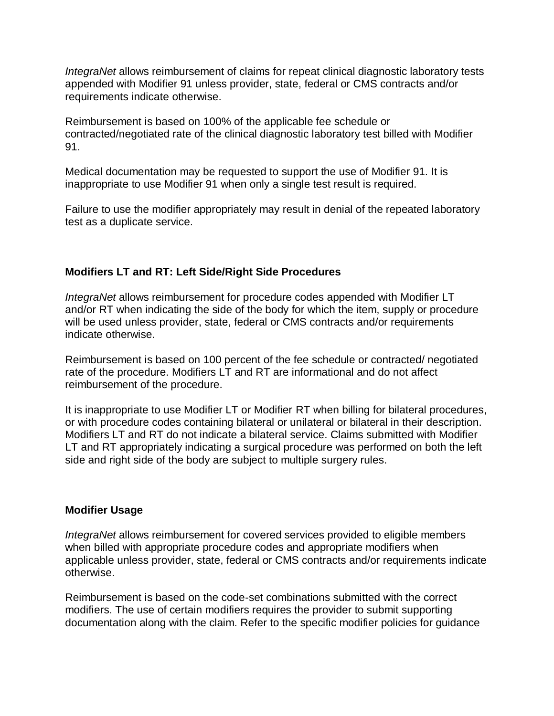*IntegraNet* allows reimbursement of claims for repeat clinical diagnostic laboratory tests appended with Modifier 91 unless provider, state, federal or CMS contracts and/or requirements indicate otherwise.

Reimbursement is based on 100% of the applicable fee schedule or contracted/negotiated rate of the clinical diagnostic laboratory test billed with Modifier 91.

Medical documentation may be requested to support the use of Modifier 91. It is inappropriate to use Modifier 91 when only a single test result is required.

Failure to use the modifier appropriately may result in denial of the repeated laboratory test as a duplicate service.

# **Modifiers LT and RT: Left Side/Right Side Procedures**

*IntegraNet* allows reimbursement for procedure codes appended with Modifier LT and/or RT when indicating the side of the body for which the item, supply or procedure will be used unless provider, state, federal or CMS contracts and/or requirements indicate otherwise.

Reimbursement is based on 100 percent of the fee schedule or contracted/ negotiated rate of the procedure. Modifiers LT and RT are informational and do not affect reimbursement of the procedure.

It is inappropriate to use Modifier LT or Modifier RT when billing for bilateral procedures, or with procedure codes containing bilateral or unilateral or bilateral in their description. Modifiers LT and RT do not indicate a bilateral service. Claims submitted with Modifier LT and RT appropriately indicating a surgical procedure was performed on both the left side and right side of the body are subject to multiple surgery rules.

## **Modifier Usage**

*IntegraNet* allows reimbursement for covered services provided to eligible members when billed with appropriate procedure codes and appropriate modifiers when applicable unless provider, state, federal or CMS contracts and/or requirements indicate otherwise.

Reimbursement is based on the code-set combinations submitted with the correct modifiers. The use of certain modifiers requires the provider to submit supporting documentation along with the claim. Refer to the specific modifier policies for guidance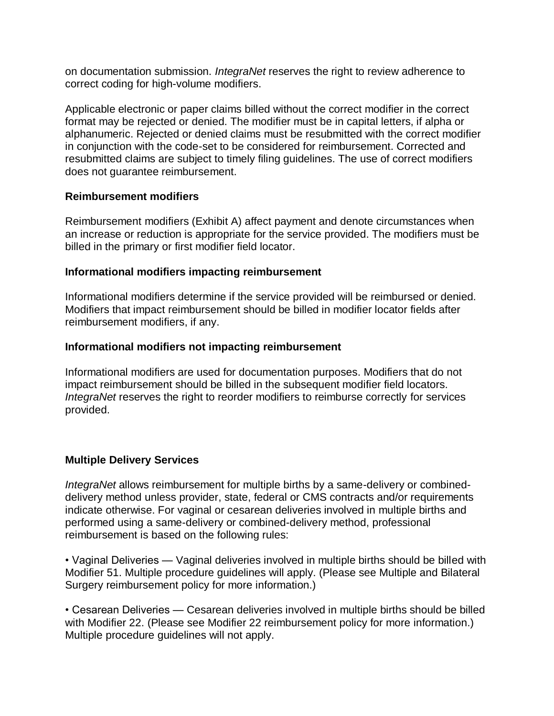on documentation submission. *IntegraNet* reserves the right to review adherence to correct coding for high-volume modifiers.

Applicable electronic or paper claims billed without the correct modifier in the correct format may be rejected or denied. The modifier must be in capital letters, if alpha or alphanumeric. Rejected or denied claims must be resubmitted with the correct modifier in conjunction with the code-set to be considered for reimbursement. Corrected and resubmitted claims are subject to timely filing guidelines. The use of correct modifiers does not guarantee reimbursement.

## **Reimbursement modifiers**

Reimbursement modifiers (Exhibit A) affect payment and denote circumstances when an increase or reduction is appropriate for the service provided. The modifiers must be billed in the primary or first modifier field locator.

## **Informational modifiers impacting reimbursement**

Informational modifiers determine if the service provided will be reimbursed or denied. Modifiers that impact reimbursement should be billed in modifier locator fields after reimbursement modifiers, if any.

# **Informational modifiers not impacting reimbursement**

Informational modifiers are used for documentation purposes. Modifiers that do not impact reimbursement should be billed in the subsequent modifier field locators. *IntegraNet* reserves the right to reorder modifiers to reimburse correctly for services provided.

# **Multiple Delivery Services**

*IntegraNet* allows reimbursement for multiple births by a same-delivery or combineddelivery method unless provider, state, federal or CMS contracts and/or requirements indicate otherwise. For vaginal or cesarean deliveries involved in multiple births and performed using a same-delivery or combined-delivery method, professional reimbursement is based on the following rules:

• Vaginal Deliveries — Vaginal deliveries involved in multiple births should be billed with Modifier 51. Multiple procedure guidelines will apply. (Please see Multiple and Bilateral Surgery reimbursement policy for more information.)

• Cesarean Deliveries — Cesarean deliveries involved in multiple births should be billed with Modifier 22. (Please see Modifier 22 reimbursement policy for more information.) Multiple procedure guidelines will not apply.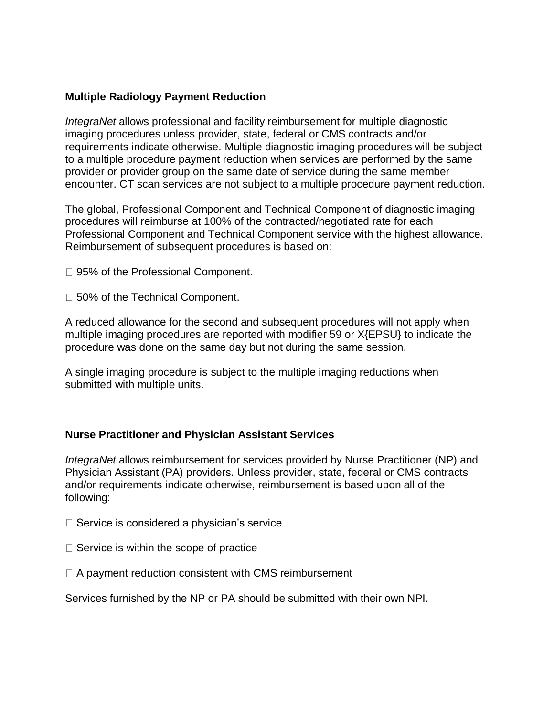## **Multiple Radiology Payment Reduction**

*IntegraNet* allows professional and facility reimbursement for multiple diagnostic imaging procedures unless provider, state, federal or CMS contracts and/or requirements indicate otherwise. Multiple diagnostic imaging procedures will be subject to a multiple procedure payment reduction when services are performed by the same provider or provider group on the same date of service during the same member encounter. CT scan services are not subject to a multiple procedure payment reduction.

The global, Professional Component and Technical Component of diagnostic imaging procedures will reimburse at 100% of the contracted/negotiated rate for each Professional Component and Technical Component service with the highest allowance. Reimbursement of subsequent procedures is based on:

□ 95% of the Professional Component.

□ 50% of the Technical Component.

A reduced allowance for the second and subsequent procedures will not apply when multiple imaging procedures are reported with modifier 59 or X{EPSU} to indicate the procedure was done on the same day but not during the same session.

A single imaging procedure is subject to the multiple imaging reductions when submitted with multiple units.

## **Nurse Practitioner and Physician Assistant Services**

*IntegraNet* allows reimbursement for services provided by Nurse Practitioner (NP) and Physician Assistant (PA) providers. Unless provider, state, federal or CMS contracts and/or requirements indicate otherwise, reimbursement is based upon all of the following:

- $\Box$  Service is considered a physician's service
- $\Box$  Service is within the scope of practice
- $\Box$  A payment reduction consistent with CMS reimbursement

Services furnished by the NP or PA should be submitted with their own NPI.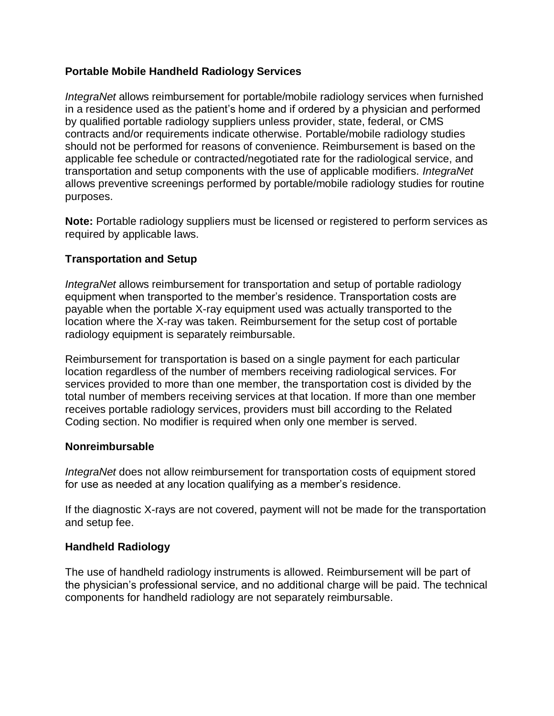# **Portable Mobile Handheld Radiology Services**

*IntegraNet* allows reimbursement for portable/mobile radiology services when furnished in a residence used as the patient's home and if ordered by a physician and performed by qualified portable radiology suppliers unless provider, state, federal, or CMS contracts and/or requirements indicate otherwise. Portable/mobile radiology studies should not be performed for reasons of convenience. Reimbursement is based on the applicable fee schedule or contracted/negotiated rate for the radiological service, and transportation and setup components with the use of applicable modifiers. *IntegraNet* allows preventive screenings performed by portable/mobile radiology studies for routine purposes.

**Note:** Portable radiology suppliers must be licensed or registered to perform services as required by applicable laws.

# **Transportation and Setup**

*IntegraNet* allows reimbursement for transportation and setup of portable radiology equipment when transported to the member's residence. Transportation costs are payable when the portable X-ray equipment used was actually transported to the location where the X-ray was taken. Reimbursement for the setup cost of portable radiology equipment is separately reimbursable.

Reimbursement for transportation is based on a single payment for each particular location regardless of the number of members receiving radiological services. For services provided to more than one member, the transportation cost is divided by the total number of members receiving services at that location. If more than one member receives portable radiology services, providers must bill according to the Related Coding section. No modifier is required when only one member is served.

## **Nonreimbursable**

*IntegraNet* does not allow reimbursement for transportation costs of equipment stored for use as needed at any location qualifying as a member's residence.

If the diagnostic X-rays are not covered, payment will not be made for the transportation and setup fee.

## **Handheld Radiology**

The use of handheld radiology instruments is allowed. Reimbursement will be part of the physician's professional service, and no additional charge will be paid. The technical components for handheld radiology are not separately reimbursable.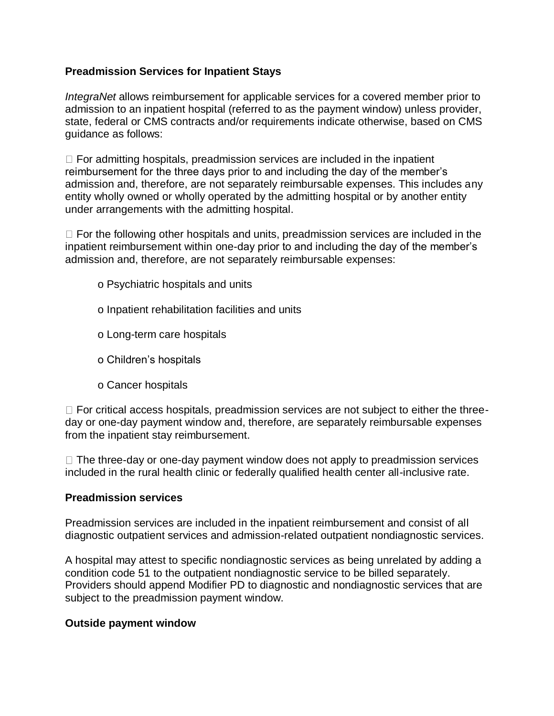# **Preadmission Services for Inpatient Stays**

*IntegraNet* allows reimbursement for applicable services for a covered member prior to admission to an inpatient hospital (referred to as the payment window) unless provider, state, federal or CMS contracts and/or requirements indicate otherwise, based on CMS guidance as follows:

 $\Box$  For admitting hospitals, preadmission services are included in the inpatient reimbursement for the three days prior to and including the day of the member's admission and, therefore, are not separately reimbursable expenses. This includes any entity wholly owned or wholly operated by the admitting hospital or by another entity under arrangements with the admitting hospital.

 $\Box$  For the following other hospitals and units, preadmission services are included in the inpatient reimbursement within one-day prior to and including the day of the member's admission and, therefore, are not separately reimbursable expenses:

- o Psychiatric hospitals and units
- o Inpatient rehabilitation facilities and units
- o Long-term care hospitals
- o Children's hospitals
- o Cancer hospitals

 $\Box$  For critical access hospitals, preadmission services are not subject to either the threeday or one-day payment window and, therefore, are separately reimbursable expenses from the inpatient stay reimbursement.

 $\Box$  The three-day or one-day payment window does not apply to preadmission services included in the rural health clinic or federally qualified health center all-inclusive rate.

## **Preadmission services**

Preadmission services are included in the inpatient reimbursement and consist of all diagnostic outpatient services and admission-related outpatient nondiagnostic services.

A hospital may attest to specific nondiagnostic services as being unrelated by adding a condition code 51 to the outpatient nondiagnostic service to be billed separately. Providers should append Modifier PD to diagnostic and nondiagnostic services that are subject to the preadmission payment window.

## **Outside payment window**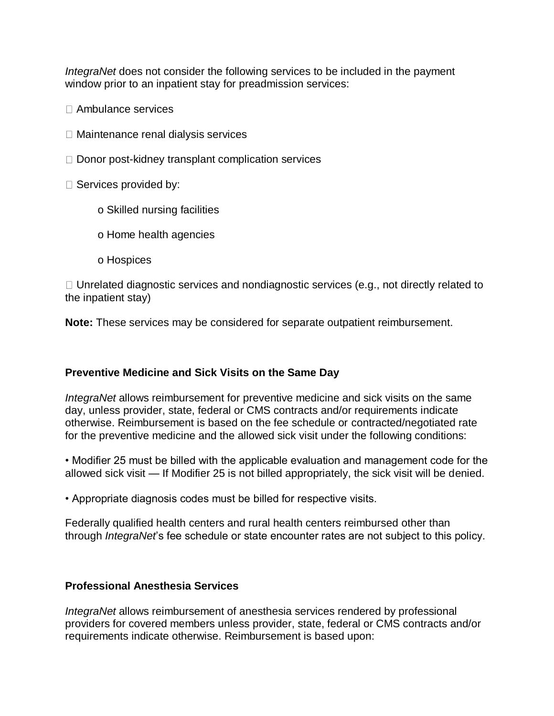*IntegraNet* does not consider the following services to be included in the payment window prior to an inpatient stay for preadmission services:

- Ambulance services
- $\Box$  Maintenance renal dialysis services
- $\Box$  Donor post-kidney transplant complication services
- $\square$  Services provided by:
	- o Skilled nursing facilities
	- o Home health agencies
	- o Hospices

 $\Box$  Unrelated diagnostic services and nondiagnostic services (e.g., not directly related to the inpatient stay)

**Note:** These services may be considered for separate outpatient reimbursement.

## **Preventive Medicine and Sick Visits on the Same Day**

*IntegraNet* allows reimbursement for preventive medicine and sick visits on the same day, unless provider, state, federal or CMS contracts and/or requirements indicate otherwise. Reimbursement is based on the fee schedule or contracted/negotiated rate for the preventive medicine and the allowed sick visit under the following conditions:

• Modifier 25 must be billed with the applicable evaluation and management code for the allowed sick visit — If Modifier 25 is not billed appropriately, the sick visit will be denied.

• Appropriate diagnosis codes must be billed for respective visits.

Federally qualified health centers and rural health centers reimbursed other than through *IntegraNet*'s fee schedule or state encounter rates are not subject to this policy.

#### **Professional Anesthesia Services**

*IntegraNet* allows reimbursement of anesthesia services rendered by professional providers for covered members unless provider, state, federal or CMS contracts and/or requirements indicate otherwise. Reimbursement is based upon: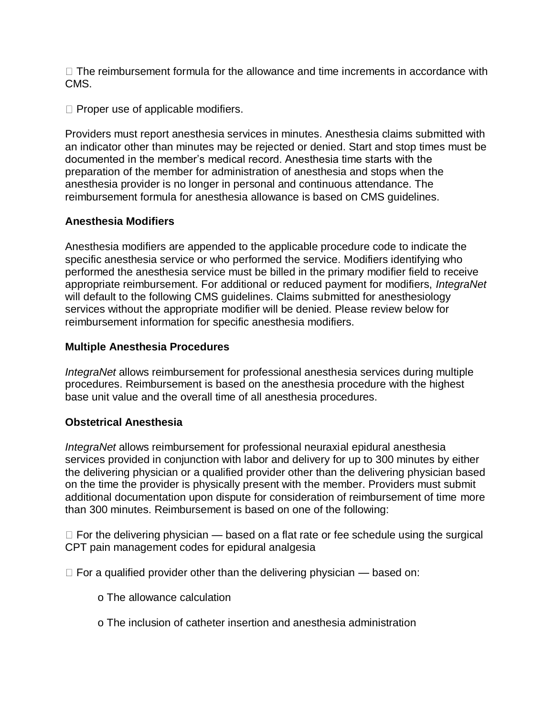$\Box$  The reimbursement formula for the allowance and time increments in accordance with CMS.

 $\Box$  Proper use of applicable modifiers.

Providers must report anesthesia services in minutes. Anesthesia claims submitted with an indicator other than minutes may be rejected or denied. Start and stop times must be documented in the member's medical record. Anesthesia time starts with the preparation of the member for administration of anesthesia and stops when the anesthesia provider is no longer in personal and continuous attendance. The reimbursement formula for anesthesia allowance is based on CMS guidelines.

# **Anesthesia Modifiers**

Anesthesia modifiers are appended to the applicable procedure code to indicate the specific anesthesia service or who performed the service. Modifiers identifying who performed the anesthesia service must be billed in the primary modifier field to receive appropriate reimbursement. For additional or reduced payment for modifiers, *IntegraNet* will default to the following CMS guidelines. Claims submitted for anesthesiology services without the appropriate modifier will be denied. Please review below for reimbursement information for specific anesthesia modifiers.

# **Multiple Anesthesia Procedures**

*IntegraNet* allows reimbursement for professional anesthesia services during multiple procedures. Reimbursement is based on the anesthesia procedure with the highest base unit value and the overall time of all anesthesia procedures.

## **Obstetrical Anesthesia**

*IntegraNet* allows reimbursement for professional neuraxial epidural anesthesia services provided in conjunction with labor and delivery for up to 300 minutes by either the delivering physician or a qualified provider other than the delivering physician based on the time the provider is physically present with the member. Providers must submit additional documentation upon dispute for consideration of reimbursement of time more than 300 minutes. Reimbursement is based on one of the following:

 $\Box$  For the delivering physician  $\Diamond$  based on a flat rate or fee schedule using the surgical CPT pain management codes for epidural analgesia

 $\Box$  For a qualified provider other than the delivering physician — based on:

- o The allowance calculation
- o The inclusion of catheter insertion and anesthesia administration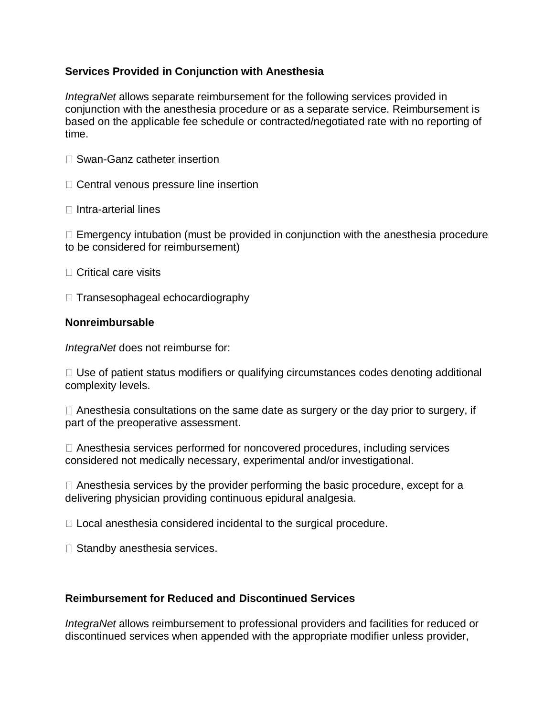## **Services Provided in Conjunction with Anesthesia**

*IntegraNet* allows separate reimbursement for the following services provided in conjunction with the anesthesia procedure or as a separate service. Reimbursement is based on the applicable fee schedule or contracted/negotiated rate with no reporting of time.

- □ Swan-Ganz catheter insertion
- $\Box$  Central venous pressure line insertion
- $\Box$  Intra-arterial lines

 $\Box$  Emergency intubation (must be provided in conjunction with the anesthesia procedure to be considered for reimbursement)

- $\Box$  Critical care visits
- $\Box$  Transesophageal echocardiography

# **Nonreimbursable**

*IntegraNet* does not reimburse for:

 $\Box$  Use of patient status modifiers or qualifying circumstances codes denoting additional complexity levels.

 $\Box$  Anesthesia consultations on the same date as surgery or the day prior to surgery, if part of the preoperative assessment.

Anesthesia services performed for noncovered procedures, including services considered not medically necessary, experimental and/or investigational.

 $\Box$  Anesthesia services by the provider performing the basic procedure, except for a delivering physician providing continuous epidural analgesia.

 $\Box$  Local anesthesia considered incidental to the surgical procedure.

□ Standby anesthesia services.

# **Reimbursement for Reduced and Discontinued Services**

*IntegraNet* allows reimbursement to professional providers and facilities for reduced or discontinued services when appended with the appropriate modifier unless provider,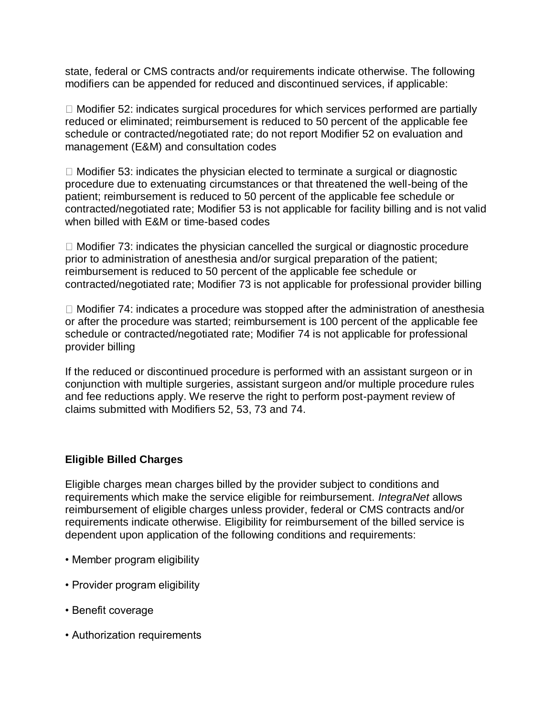state, federal or CMS contracts and/or requirements indicate otherwise. The following modifiers can be appended for reduced and discontinued services, if applicable:

 $\Box$  Modifier 52: indicates surgical procedures for which services performed are partially reduced or eliminated; reimbursement is reduced to 50 percent of the applicable fee schedule or contracted/negotiated rate; do not report Modifier 52 on evaluation and management (E&M) and consultation codes

 $\Box$  Modifier 53: indicates the physician elected to terminate a surgical or diagnostic procedure due to extenuating circumstances or that threatened the well-being of the patient; reimbursement is reduced to 50 percent of the applicable fee schedule or contracted/negotiated rate; Modifier 53 is not applicable for facility billing and is not valid when billed with E&M or time-based codes

 $\Box$  Modifier 73: indicates the physician cancelled the surgical or diagnostic procedure prior to administration of anesthesia and/or surgical preparation of the patient; reimbursement is reduced to 50 percent of the applicable fee schedule or contracted/negotiated rate; Modifier 73 is not applicable for professional provider billing

 $\Box$  Modifier 74: indicates a procedure was stopped after the administration of anesthesia or after the procedure was started; reimbursement is 100 percent of the applicable fee schedule or contracted/negotiated rate; Modifier 74 is not applicable for professional provider billing

If the reduced or discontinued procedure is performed with an assistant surgeon or in conjunction with multiple surgeries, assistant surgeon and/or multiple procedure rules and fee reductions apply. We reserve the right to perform post-payment review of claims submitted with Modifiers 52, 53, 73 and 74.

# **Eligible Billed Charges**

Eligible charges mean charges billed by the provider subject to conditions and requirements which make the service eligible for reimbursement. *IntegraNet* allows reimbursement of eligible charges unless provider, federal or CMS contracts and/or requirements indicate otherwise. Eligibility for reimbursement of the billed service is dependent upon application of the following conditions and requirements:

- Member program eligibility
- Provider program eligibility
- Benefit coverage
- Authorization requirements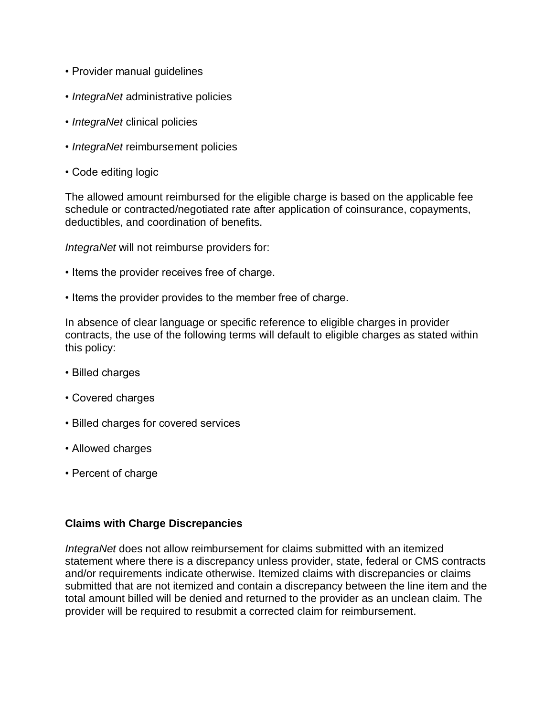- Provider manual guidelines
- *IntegraNet* administrative policies
- *IntegraNet* clinical policies
- *IntegraNet* reimbursement policies
- Code editing logic

The allowed amount reimbursed for the eligible charge is based on the applicable fee schedule or contracted/negotiated rate after application of coinsurance, copayments, deductibles, and coordination of benefits.

*IntegraNet* will not reimburse providers for:

- Items the provider receives free of charge.
- Items the provider provides to the member free of charge.

In absence of clear language or specific reference to eligible charges in provider contracts, the use of the following terms will default to eligible charges as stated within this policy:

- Billed charges
- Covered charges
- Billed charges for covered services
- Allowed charges
- Percent of charge

## **Claims with Charge Discrepancies**

*IntegraNet* does not allow reimbursement for claims submitted with an itemized statement where there is a discrepancy unless provider, state, federal or CMS contracts and/or requirements indicate otherwise. Itemized claims with discrepancies or claims submitted that are not itemized and contain a discrepancy between the line item and the total amount billed will be denied and returned to the provider as an unclean claim. The provider will be required to resubmit a corrected claim for reimbursement.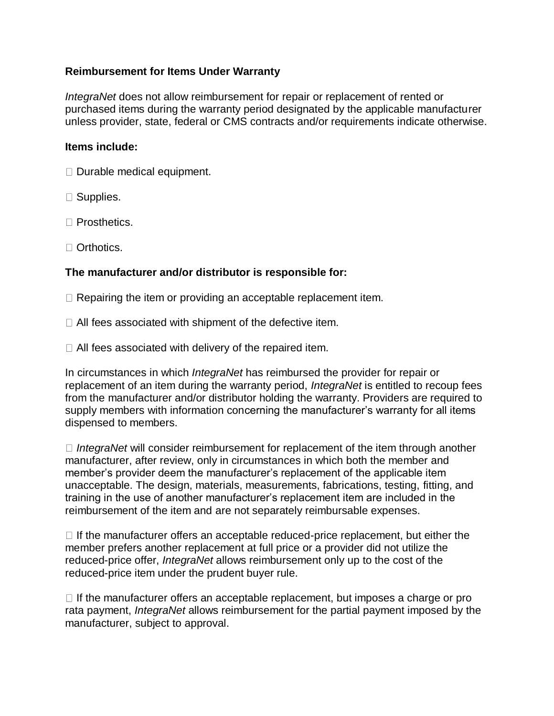# **Reimbursement for Items Under Warranty**

*IntegraNet* does not allow reimbursement for repair or replacement of rented or purchased items during the warranty period designated by the applicable manufacturer unless provider, state, federal or CMS contracts and/or requirements indicate otherwise.

### **Items include:**

- $\Box$  Durable medical equipment.
- □ Supplies.
- □ Prosthetics.
- □ Orthotics.

## **The manufacturer and/or distributor is responsible for:**

- $\Box$  Repairing the item or providing an acceptable replacement item.
- All fees associated with shipment of the defective item.
- $\Box$  All fees associated with delivery of the repaired item.

In circumstances in which *IntegraNet* has reimbursed the provider for repair or replacement of an item during the warranty period, *IntegraNet* is entitled to recoup fees from the manufacturer and/or distributor holding the warranty. Providers are required to supply members with information concerning the manufacturer's warranty for all items dispensed to members.

*IntegraNet* will consider reimbursement for replacement of the item through another manufacturer, after review, only in circumstances in which both the member and member's provider deem the manufacturer's replacement of the applicable item unacceptable. The design, materials, measurements, fabrications, testing, fitting, and training in the use of another manufacturer's replacement item are included in the reimbursement of the item and are not separately reimbursable expenses.

 $\Box$  If the manufacturer offers an acceptable reduced-price replacement, but either the member prefers another replacement at full price or a provider did not utilize the reduced-price offer, *IntegraNet* allows reimbursement only up to the cost of the reduced-price item under the prudent buyer rule.

 $\Box$  If the manufacturer offers an acceptable replacement, but imposes a charge or pro rata payment, *IntegraNet* allows reimbursement for the partial payment imposed by the manufacturer, subject to approval.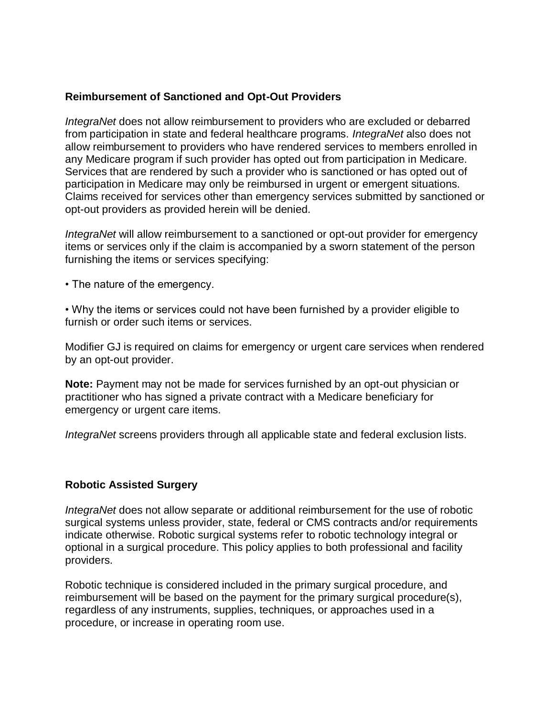## **Reimbursement of Sanctioned and Opt-Out Providers**

*IntegraNet* does not allow reimbursement to providers who are excluded or debarred from participation in state and federal healthcare programs. *IntegraNet* also does not allow reimbursement to providers who have rendered services to members enrolled in any Medicare program if such provider has opted out from participation in Medicare. Services that are rendered by such a provider who is sanctioned or has opted out of participation in Medicare may only be reimbursed in urgent or emergent situations. Claims received for services other than emergency services submitted by sanctioned or opt-out providers as provided herein will be denied.

*IntegraNet* will allow reimbursement to a sanctioned or opt-out provider for emergency items or services only if the claim is accompanied by a sworn statement of the person furnishing the items or services specifying:

• The nature of the emergency.

• Why the items or services could not have been furnished by a provider eligible to furnish or order such items or services.

Modifier GJ is required on claims for emergency or urgent care services when rendered by an opt-out provider.

**Note:** Payment may not be made for services furnished by an opt-out physician or practitioner who has signed a private contract with a Medicare beneficiary for emergency or urgent care items.

*IntegraNet* screens providers through all applicable state and federal exclusion lists.

## **Robotic Assisted Surgery**

*IntegraNet* does not allow separate or additional reimbursement for the use of robotic surgical systems unless provider, state, federal or CMS contracts and/or requirements indicate otherwise. Robotic surgical systems refer to robotic technology integral or optional in a surgical procedure. This policy applies to both professional and facility providers.

Robotic technique is considered included in the primary surgical procedure, and reimbursement will be based on the payment for the primary surgical procedure(s), regardless of any instruments, supplies, techniques, or approaches used in a procedure, or increase in operating room use.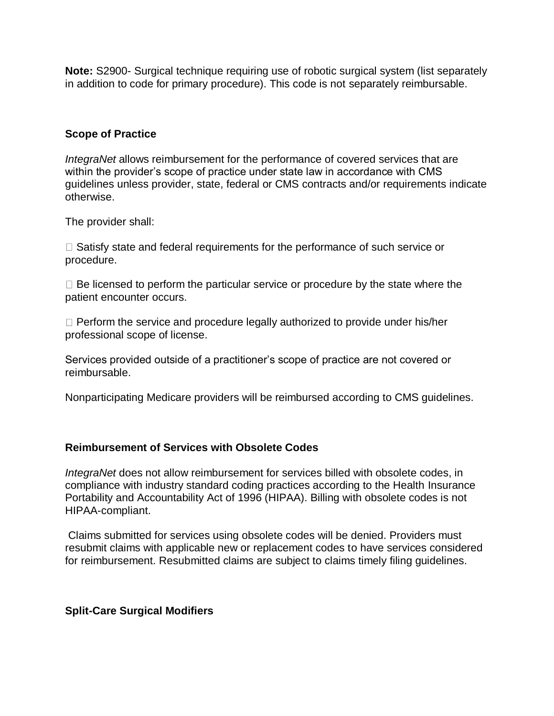**Note:** S2900- Surgical technique requiring use of robotic surgical system (list separately in addition to code for primary procedure). This code is not separately reimbursable.

# **Scope of Practice**

*IntegraNet* allows reimbursement for the performance of covered services that are within the provider's scope of practice under state law in accordance with CMS guidelines unless provider, state, federal or CMS contracts and/or requirements indicate otherwise.

The provider shall:

 $\Box$  Satisfy state and federal requirements for the performance of such service or procedure.

 $\Box$  Be licensed to perform the particular service or procedure by the state where the patient encounter occurs.

 $\Box$  Perform the service and procedure legally authorized to provide under his/her professional scope of license.

Services provided outside of a practitioner's scope of practice are not covered or reimbursable.

Nonparticipating Medicare providers will be reimbursed according to CMS guidelines.

## **Reimbursement of Services with Obsolete Codes**

*IntegraNet* does not allow reimbursement for services billed with obsolete codes, in compliance with industry standard coding practices according to the Health Insurance Portability and Accountability Act of 1996 (HIPAA). Billing with obsolete codes is not HIPAA-compliant.

Claims submitted for services using obsolete codes will be denied. Providers must resubmit claims with applicable new or replacement codes to have services considered for reimbursement. Resubmitted claims are subject to claims timely filing guidelines.

## **Split-Care Surgical Modifiers**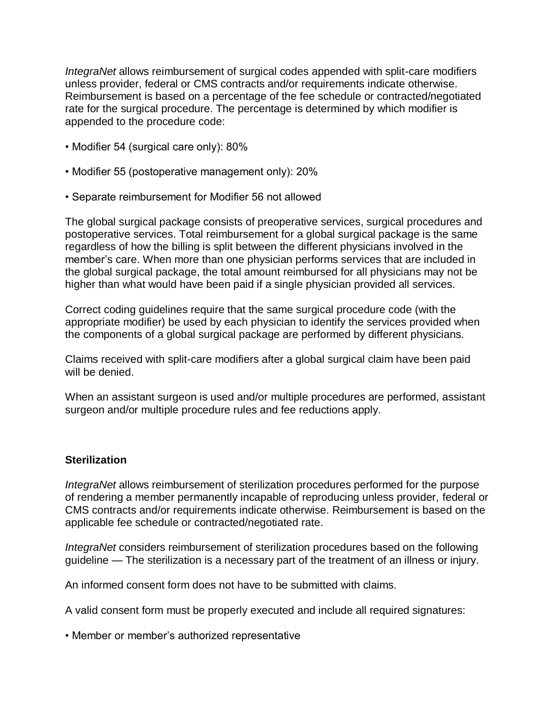*IntegraNet* allows reimbursement of surgical codes appended with split-care modifiers unless provider, federal or CMS contracts and/or requirements indicate otherwise. Reimbursement is based on a percentage of the fee schedule or contracted/negotiated rate for the surgical procedure. The percentage is determined by which modifier is appended to the procedure code:

- Modifier 54 (surgical care only): 80%
- Modifier 55 (postoperative management only): 20%
- Separate reimbursement for Modifier 56 not allowed

The global surgical package consists of preoperative services, surgical procedures and postoperative services. Total reimbursement for a global surgical package is the same regardless of how the billing is split between the different physicians involved in the member's care. When more than one physician performs services that are included in the global surgical package, the total amount reimbursed for all physicians may not be higher than what would have been paid if a single physician provided all services.

Correct coding guidelines require that the same surgical procedure code (with the appropriate modifier) be used by each physician to identify the services provided when the components of a global surgical package are performed by different physicians.

Claims received with split-care modifiers after a global surgical claim have been paid will be denied.

When an assistant surgeon is used and/or multiple procedures are performed, assistant surgeon and/or multiple procedure rules and fee reductions apply.

## **Sterilization**

*IntegraNet* allows reimbursement of sterilization procedures performed for the purpose of rendering a member permanently incapable of reproducing unless provider, federal or CMS contracts and/or requirements indicate otherwise. Reimbursement is based on the applicable fee schedule or contracted/negotiated rate.

*IntegraNet* considers reimbursement of sterilization procedures based on the following guideline — The sterilization is a necessary part of the treatment of an illness or injury.

An informed consent form does not have to be submitted with claims.

A valid consent form must be properly executed and include all required signatures:

• Member or member's authorized representative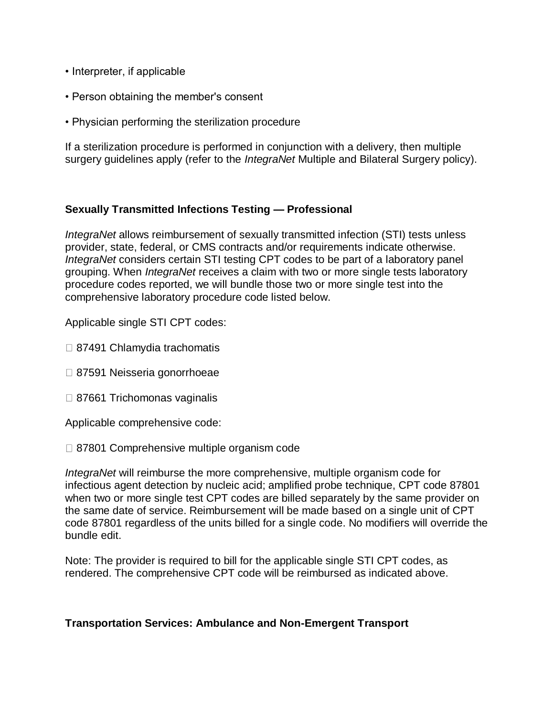- Interpreter, if applicable
- Person obtaining the member's consent
- Physician performing the sterilization procedure

If a sterilization procedure is performed in conjunction with a delivery, then multiple surgery guidelines apply (refer to the *IntegraNet* Multiple and Bilateral Surgery policy).

## **Sexually Transmitted Infections Testing — Professional**

*IntegraNet* allows reimbursement of sexually transmitted infection (STI) tests unless provider, state, federal, or CMS contracts and/or requirements indicate otherwise. *IntegraNet* considers certain STI testing CPT codes to be part of a laboratory panel grouping. When *IntegraNet* receives a claim with two or more single tests laboratory procedure codes reported, we will bundle those two or more single test into the comprehensive laboratory procedure code listed below.

Applicable single STI CPT codes:

- □ 87491 Chlamydia trachomatis
- □ 87591 Neisseria gonorrhoeae
- □ 87661 Trichomonas vaginalis

Applicable comprehensive code:

□ 87801 Comprehensive multiple organism code

*IntegraNet* will reimburse the more comprehensive, multiple organism code for infectious agent detection by nucleic acid; amplified probe technique, CPT code 87801 when two or more single test CPT codes are billed separately by the same provider on the same date of service. Reimbursement will be made based on a single unit of CPT code 87801 regardless of the units billed for a single code. No modifiers will override the bundle edit.

Note: The provider is required to bill for the applicable single STI CPT codes, as rendered. The comprehensive CPT code will be reimbursed as indicated above.

## **Transportation Services: Ambulance and Non-Emergent Transport**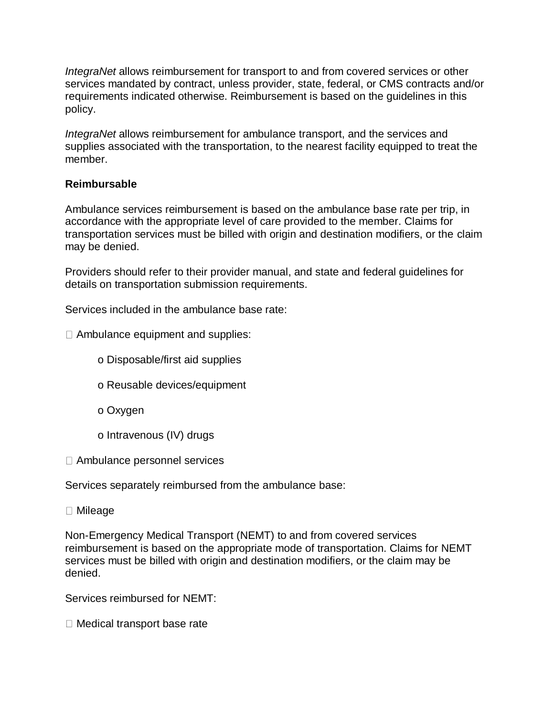*IntegraNet* allows reimbursement for transport to and from covered services or other services mandated by contract, unless provider, state, federal, or CMS contracts and/or requirements indicated otherwise. Reimbursement is based on the guidelines in this policy.

*IntegraNet* allows reimbursement for ambulance transport, and the services and supplies associated with the transportation, to the nearest facility equipped to treat the member.

# **Reimbursable**

Ambulance services reimbursement is based on the ambulance base rate per trip, in accordance with the appropriate level of care provided to the member. Claims for transportation services must be billed with origin and destination modifiers, or the claim may be denied.

Providers should refer to their provider manual, and state and federal guidelines for details on transportation submission requirements.

Services included in the ambulance base rate:

 $\Box$  Ambulance equipment and supplies:

o Disposable/first aid supplies

o Reusable devices/equipment

o Oxygen

o Intravenous (IV) drugs

Ambulance personnel services

Services separately reimbursed from the ambulance base:

Mileage

Non-Emergency Medical Transport (NEMT) to and from covered services reimbursement is based on the appropriate mode of transportation. Claims for NEMT services must be billed with origin and destination modifiers, or the claim may be denied.

Services reimbursed for NEMT:

 $\Box$  Medical transport base rate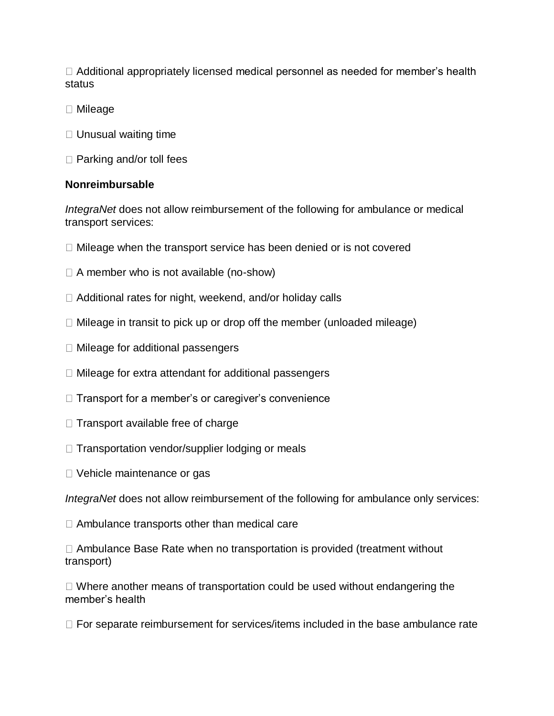$\Box$  Additional appropriately licensed medical personnel as needed for member's health status

- □ Mileage
- $\Box$  Unusual waiting time
- $\Box$  Parking and/or toll fees

## **Nonreimbursable**

*IntegraNet* does not allow reimbursement of the following for ambulance or medical transport services:

- $\Box$  Mileage when the transport service has been denied or is not covered
- $\Box$  A member who is not available (no-show)
- □ Additional rates for night, weekend, and/or holiday calls
- $\Box$  Mileage in transit to pick up or drop off the member (unloaded mileage)
- $\Box$  Mileage for additional passengers
- $\Box$  Mileage for extra attendant for additional passengers
- $\Box$  Transport for a member's or caregiver's convenience
- $\Box$  Transport available free of charge
- $\Box$  Transportation vendor/supplier lodging or meals
- □ Vehicle maintenance or gas

*IntegraNet* does not allow reimbursement of the following for ambulance only services:

□ Ambulance transports other than medical care

 $\Box$  Ambulance Base Rate when no transportation is provided (treatment without transport)

 $\Box$  Where another means of transportation could be used without endangering the member's health

 $\Box$  For separate reimbursement for services/items included in the base ambulance rate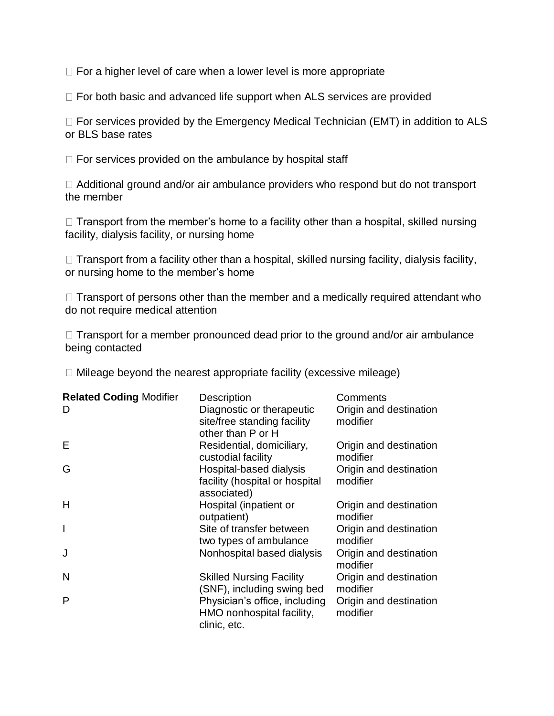$\Box$  For a higher level of care when a lower level is more appropriate

 $\Box$  For both basic and advanced life support when ALS services are provided

 $\Box$  For services provided by the Emergency Medical Technician (EMT) in addition to ALS or BLS base rates

 $\Box$  For services provided on the ambulance by hospital staff

□ Additional ground and/or air ambulance providers who respond but do not transport the member

 $\Box$  Transport from the member's home to a facility other than a hospital, skilled nursing facility, dialysis facility, or nursing home

 $\Box$  Transport from a facility other than a hospital, skilled nursing facility, dialysis facility, or nursing home to the member's home

 $\Box$  Transport of persons other than the member and a medically required attendant who do not require medical attention

 $\Box$  Transport for a member pronounced dead prior to the ground and/or air ambulance being contacted

 $\Box$  Mileage beyond the nearest appropriate facility (excessive mileage)

| <b>Related Coding Modifier</b><br>D | <b>Description</b><br>Diagnostic or therapeutic<br>site/free standing facility<br>other than P or H | Comments<br>Origin and destination<br>modifier |
|-------------------------------------|-----------------------------------------------------------------------------------------------------|------------------------------------------------|
| Е                                   | Residential, domiciliary,<br>custodial facility                                                     | Origin and destination<br>modifier             |
| G                                   | Hospital-based dialysis<br>facility (hospital or hospital<br>associated)                            | Origin and destination<br>modifier             |
| H                                   | Hospital (inpatient or<br>outpatient)                                                               | Origin and destination<br>modifier             |
| $\overline{\phantom{a}}$            | Site of transfer between<br>two types of ambulance                                                  | Origin and destination<br>modifier             |
|                                     | Nonhospital based dialysis                                                                          | Origin and destination<br>modifier             |
| N                                   | <b>Skilled Nursing Facility</b><br>(SNF), including swing bed                                       | Origin and destination<br>modifier             |
| P                                   | Physician's office, including<br>HMO nonhospital facility,<br>clinic, etc.                          | Origin and destination<br>modifier             |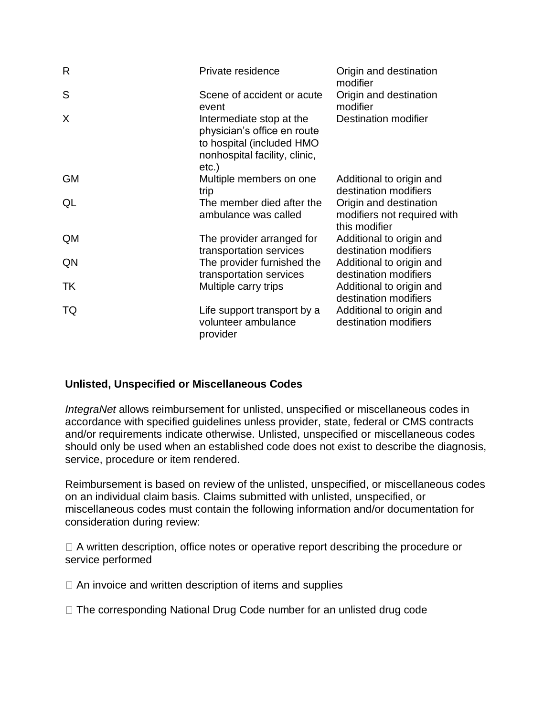| R         | Private residence                                                                                                              | Origin and destination<br>modifier                                     |
|-----------|--------------------------------------------------------------------------------------------------------------------------------|------------------------------------------------------------------------|
| S         | Scene of accident or acute<br>event                                                                                            | Origin and destination<br>modifier                                     |
| X         | Intermediate stop at the<br>physician's office en route<br>to hospital (included HMO<br>nonhospital facility, clinic,<br>etc.) | Destination modifier                                                   |
| <b>GM</b> | Multiple members on one<br>trip                                                                                                | Additional to origin and<br>destination modifiers                      |
| QL        | The member died after the<br>ambulance was called                                                                              | Origin and destination<br>modifiers not required with<br>this modifier |
| <b>QM</b> | The provider arranged for<br>transportation services                                                                           | Additional to origin and<br>destination modifiers                      |
| QN        | The provider furnished the<br>transportation services                                                                          | Additional to origin and<br>destination modifiers                      |
| TK        | Multiple carry trips                                                                                                           | Additional to origin and<br>destination modifiers                      |
| TQ        | Life support transport by a<br>volunteer ambulance<br>provider                                                                 | Additional to origin and<br>destination modifiers                      |

# **Unlisted, Unspecified or Miscellaneous Codes**

*IntegraNet* allows reimbursement for unlisted, unspecified or miscellaneous codes in accordance with specified guidelines unless provider, state, federal or CMS contracts and/or requirements indicate otherwise. Unlisted, unspecified or miscellaneous codes should only be used when an established code does not exist to describe the diagnosis, service, procedure or item rendered.

Reimbursement is based on review of the unlisted, unspecified, or miscellaneous codes on an individual claim basis. Claims submitted with unlisted, unspecified, or miscellaneous codes must contain the following information and/or documentation for consideration during review:

□ A written description, office notes or operative report describing the procedure or service performed

 $\Box$  An invoice and written description of items and supplies

 $\Box$  The corresponding National Drug Code number for an unlisted drug code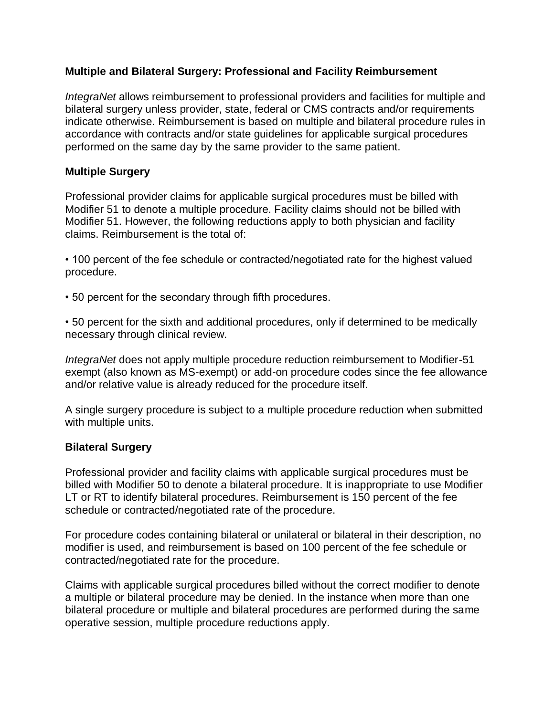# **Multiple and Bilateral Surgery: Professional and Facility Reimbursement**

*IntegraNet* allows reimbursement to professional providers and facilities for multiple and bilateral surgery unless provider, state, federal or CMS contracts and/or requirements indicate otherwise. Reimbursement is based on multiple and bilateral procedure rules in accordance with contracts and/or state guidelines for applicable surgical procedures performed on the same day by the same provider to the same patient.

## **Multiple Surgery**

Professional provider claims for applicable surgical procedures must be billed with Modifier 51 to denote a multiple procedure. Facility claims should not be billed with Modifier 51. However, the following reductions apply to both physician and facility claims. Reimbursement is the total of:

• 100 percent of the fee schedule or contracted/negotiated rate for the highest valued procedure.

• 50 percent for the secondary through fifth procedures.

• 50 percent for the sixth and additional procedures, only if determined to be medically necessary through clinical review.

*IntegraNet* does not apply multiple procedure reduction reimbursement to Modifier-51 exempt (also known as MS-exempt) or add-on procedure codes since the fee allowance and/or relative value is already reduced for the procedure itself.

A single surgery procedure is subject to a multiple procedure reduction when submitted with multiple units.

# **Bilateral Surgery**

Professional provider and facility claims with applicable surgical procedures must be billed with Modifier 50 to denote a bilateral procedure. It is inappropriate to use Modifier LT or RT to identify bilateral procedures. Reimbursement is 150 percent of the fee schedule or contracted/negotiated rate of the procedure.

For procedure codes containing bilateral or unilateral or bilateral in their description, no modifier is used, and reimbursement is based on 100 percent of the fee schedule or contracted/negotiated rate for the procedure.

Claims with applicable surgical procedures billed without the correct modifier to denote a multiple or bilateral procedure may be denied. In the instance when more than one bilateral procedure or multiple and bilateral procedures are performed during the same operative session, multiple procedure reductions apply.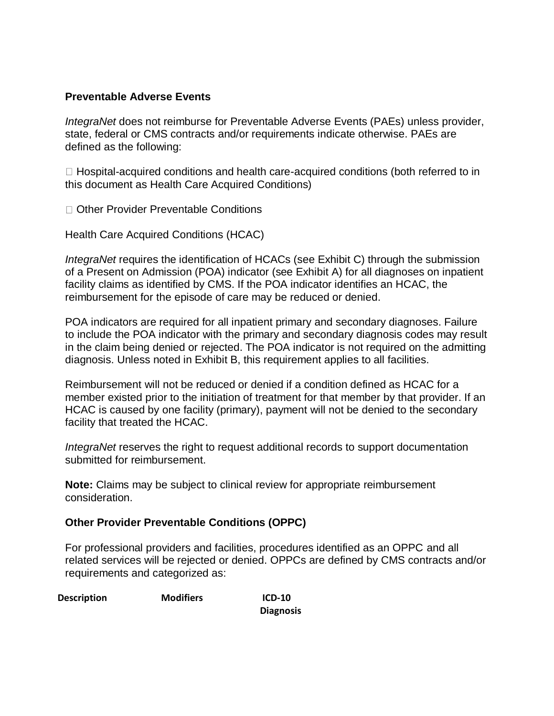# **Preventable Adverse Events**

*IntegraNet* does not reimburse for Preventable Adverse Events (PAEs) unless provider, state, federal or CMS contracts and/or requirements indicate otherwise. PAEs are defined as the following:

 $\Box$  Hospital-acquired conditions and health care-acquired conditions (both referred to in this document as Health Care Acquired Conditions)

□ Other Provider Preventable Conditions

Health Care Acquired Conditions (HCAC)

*IntegraNet* requires the identification of HCACs (see Exhibit C) through the submission of a Present on Admission (POA) indicator (see Exhibit A) for all diagnoses on inpatient facility claims as identified by CMS. If the POA indicator identifies an HCAC, the reimbursement for the episode of care may be reduced or denied.

POA indicators are required for all inpatient primary and secondary diagnoses. Failure to include the POA indicator with the primary and secondary diagnosis codes may result in the claim being denied or rejected. The POA indicator is not required on the admitting diagnosis. Unless noted in Exhibit B, this requirement applies to all facilities.

Reimbursement will not be reduced or denied if a condition defined as HCAC for a member existed prior to the initiation of treatment for that member by that provider. If an HCAC is caused by one facility (primary), payment will not be denied to the secondary facility that treated the HCAC.

*IntegraNet* reserves the right to request additional records to support documentation submitted for reimbursement.

**Note:** Claims may be subject to clinical review for appropriate reimbursement consideration.

## **Other Provider Preventable Conditions (OPPC)**

For professional providers and facilities, procedures identified as an OPPC and all related services will be rejected or denied. OPPCs are defined by CMS contracts and/or requirements and categorized as:

**Description Modifiers ICD-10** 

**Diagnosis**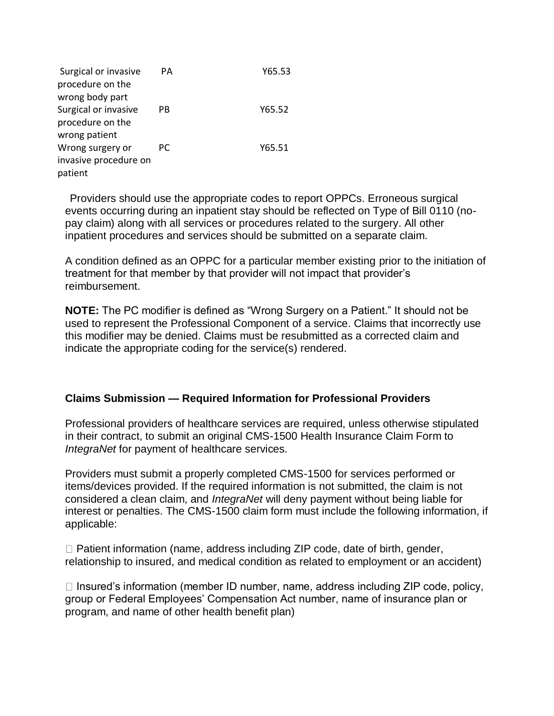| Surgical or invasive  | PА | Y65.53 |
|-----------------------|----|--------|
| procedure on the      |    |        |
| wrong body part       |    |        |
| Surgical or invasive  | PB | Y65.52 |
| procedure on the      |    |        |
| wrong patient         |    |        |
| Wrong surgery or      | РC | Y65.51 |
| invasive procedure on |    |        |
| patient               |    |        |

 Providers should use the appropriate codes to report OPPCs. Erroneous surgical events occurring during an inpatient stay should be reflected on Type of Bill 0110 (nopay claim) along with all services or procedures related to the surgery. All other inpatient procedures and services should be submitted on a separate claim.

A condition defined as an OPPC for a particular member existing prior to the initiation of treatment for that member by that provider will not impact that provider's reimbursement.

**NOTE:** The PC modifier is defined as "Wrong Surgery on a Patient." It should not be used to represent the Professional Component of a service. Claims that incorrectly use this modifier may be denied. Claims must be resubmitted as a corrected claim and indicate the appropriate coding for the service(s) rendered.

## **Claims Submission — Required Information for Professional Providers**

Professional providers of healthcare services are required, unless otherwise stipulated in their contract, to submit an original CMS-1500 Health Insurance Claim Form to *IntegraNet* for payment of healthcare services.

Providers must submit a properly completed CMS-1500 for services performed or items/devices provided. If the required information is not submitted, the claim is not considered a clean claim, and *IntegraNet* will deny payment without being liable for interest or penalties. The CMS-1500 claim form must include the following information, if applicable:

 $\Box$  Patient information (name, address including ZIP code, date of birth, gender, relationship to insured, and medical condition as related to employment or an accident)

 $\Box$  Insured's information (member ID number, name, address including ZIP code, policy, group or Federal Employees' Compensation Act number, name of insurance plan or program, and name of other health benefit plan)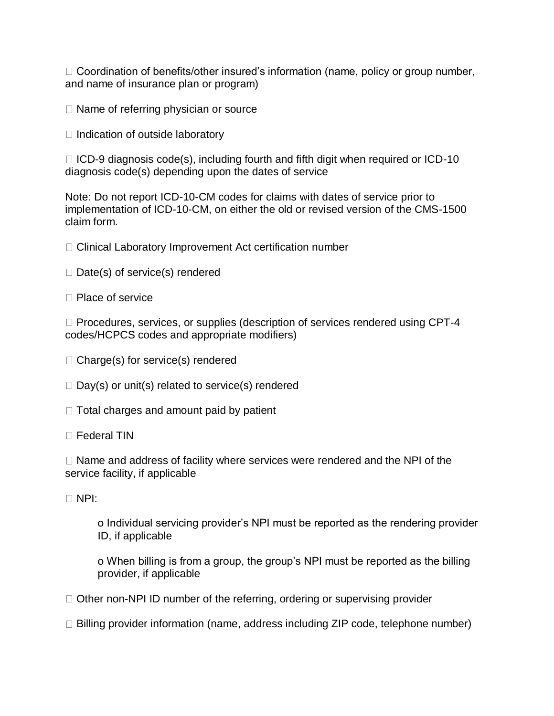$\Box$  Coordination of benefits/other insured's information (name, policy or group number, and name of insurance plan or program)

 $\Box$  Name of referring physician or source

 $\Box$  Indication of outside laboratory

 $\Box$  ICD-9 diagnosis code(s), including fourth and fifth digit when required or ICD-10 diagnosis code(s) depending upon the dates of service

Note: Do not report ICD-10-CM codes for claims with dates of service prior to implementation of ICD-10-CM, on either the old or revised version of the CMS-1500 claim form.

- □ Clinical Laboratory Improvement Act certification number
- $\Box$  Date(s) of service(s) rendered
- □ Place of service

 $\Box$  Procedures, services, or supplies (description of services rendered using CPT-4 codes/HCPCS codes and appropriate modifiers)

- $\Box$  Charge(s) for service(s) rendered
- $\Box$  Day(s) or unit(s) related to service(s) rendered
- $\Box$  Total charges and amount paid by patient
- □ Federal TIN

 $\Box$  Name and address of facility where services were rendered and the NPI of the service facility, if applicable

NPI:

o Individual servicing provider's NPI must be reported as the rendering provider ID, if applicable

o When billing is from a group, the group's NPI must be reported as the billing provider, if applicable

- $\Box$  Other non-NPI ID number of the referring, ordering or supervising provider
- $\Box$  Billing provider information (name, address including ZIP code, telephone number)